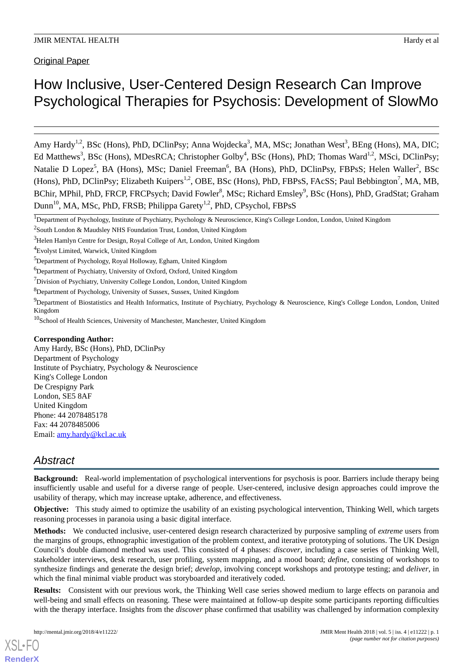Original Paper

# How Inclusive, User-Centered Design Research Can Improve Psychological Therapies for Psychosis: Development of SlowMo

Amy Hardy<sup>1,2</sup>, BSc (Hons), PhD, DClinPsy; Anna Wojdecka<sup>3</sup>, MA, MSc; Jonathan West<sup>3</sup>, BEng (Hons), MA, DIC; Ed Matthews<sup>3</sup>, BSc (Hons), MDesRCA; Christopher Golby<sup>4</sup>, BSc (Hons), PhD; Thomas Ward<sup>1,2</sup>, MSci, DClinPsy; Natalie D Lopez<sup>5</sup>, BA (Hons), MSc; Daniel Freeman<sup>6</sup>, BA (Hons), PhD, DClinPsy, FBPsS; Helen Waller<sup>2</sup>, BSc (Hons), PhD, DClinPsy; Elizabeth Kuipers<sup>1,2</sup>, OBE, BSc (Hons), PhD, FBPsS, FAcSS; Paul Bebbington<sup>7</sup>, MA, MB, BChir, MPhil, PhD, FRCP, FRCPsych; David Fowler<sup>8</sup>, MSc; Richard Emsley<sup>9</sup>, BSc (Hons), PhD, GradStat; Graham Dunn<sup>10</sup>, MA, MSc, PhD, FRSB; Philippa Garety<sup>1,2</sup>, PhD, CPsychol, FBPsS

#### **Corresponding Author:**

Amy Hardy, BSc (Hons), PhD, DClinPsy Department of Psychology Institute of Psychiatry, Psychology & Neuroscience King's College London De Crespigny Park London, SE5 8AF United Kingdom Phone: 44 2078485178 Fax: 44 2078485006 Email: [amy.hardy@kcl.ac.uk](mailto:amy.hardy@kcl.ac.uk)

## *Abstract*

**Background:** Real-world implementation of psychological interventions for psychosis is poor. Barriers include therapy being insufficiently usable and useful for a diverse range of people. User-centered, inclusive design approaches could improve the usability of therapy, which may increase uptake, adherence, and effectiveness.

**Objective:** This study aimed to optimize the usability of an existing psychological intervention, Thinking Well, which targets reasoning processes in paranoia using a basic digital interface.

**Methods:** We conducted inclusive, user-centered design research characterized by purposive sampling of *extreme* users from the margins of groups, ethnographic investigation of the problem context, and iterative prototyping of solutions. The UK Design Council's double diamond method was used. This consisted of 4 phases: *discover*, including a case series of Thinking Well, stakeholder interviews, desk research, user profiling, system mapping, and a mood board; *define*, consisting of workshops to synthesize findings and generate the design brief; *develop*, involving concept workshops and prototype testing; and *deliver*, in which the final minimal viable product was storyboarded and iteratively coded.

**Results:** Consistent with our previous work, the Thinking Well case series showed medium to large effects on paranoia and well-being and small effects on reasoning. These were maintained at follow-up despite some participants reporting difficulties with the therapy interface. Insights from the *discover* phase confirmed that usability was challenged by information complexity

<sup>&</sup>lt;sup>1</sup>Department of Psychology, Institute of Psychiatry, Psychology & Neuroscience, King's College London, London, United Kingdom

<sup>&</sup>lt;sup>2</sup>South London & Maudsley NHS Foundation Trust, London, United Kingdom

<sup>&</sup>lt;sup>3</sup>Helen Hamlyn Centre for Design, Royal College of Art, London, United Kingdom

<sup>4</sup>Evolyst Limited, Warwick, United Kingdom

<sup>&</sup>lt;sup>5</sup>Department of Psychology, Royal Holloway, Egham, United Kingdom

<sup>&</sup>lt;sup>6</sup>Department of Psychiatry, University of Oxford, Oxford, United Kingdom

<sup>7</sup>Division of Psychiatry, University College London, London, United Kingdom

<sup>8</sup>Department of Psychology, University of Sussex, Sussex, United Kingdom

<sup>&</sup>lt;sup>9</sup>Department of Biostatistics and Health Informatics, Institute of Psychiatry, Psychology & Neuroscience, King's College London, London, United Kingdom

<sup>&</sup>lt;sup>10</sup>School of Health Sciences, University of Manchester, Manchester, United Kingdom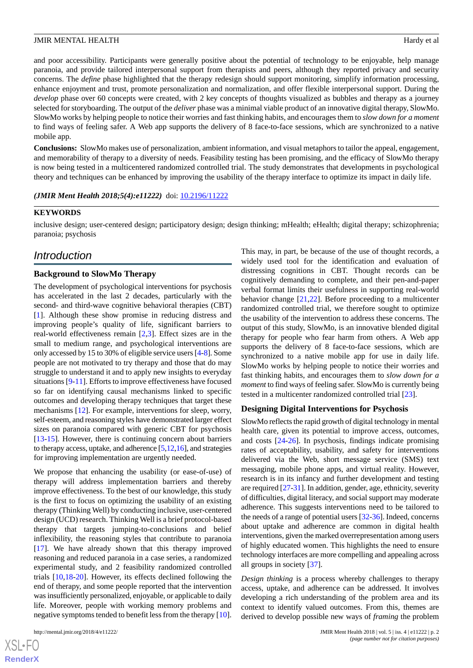and poor accessibility. Participants were generally positive about the potential of technology to be enjoyable, help manage paranoia, and provide tailored interpersonal support from therapists and peers, although they reported privacy and security concerns. The *define* phase highlighted that the therapy redesign should support monitoring, simplify information processing, enhance enjoyment and trust, promote personalization and normalization, and offer flexible interpersonal support. During the *develop* phase over 60 concepts were created, with 2 key concepts of thoughts visualized as bubbles and therapy as a journey selected for storyboarding. The output of the *deliver* phase was a minimal viable product of an innovative digital therapy, SlowMo. SlowMo works by helping people to notice their worries and fast thinking habits, and encourages them to *slow down for a moment* to find ways of feeling safer. A Web app supports the delivery of 8 face-to-face sessions, which are synchronized to a native mobile app.

**Conclusions:** SlowMo makes use of personalization, ambient information, and visual metaphors to tailor the appeal, engagement, and memorability of therapy to a diversity of needs. Feasibility testing has been promising, and the efficacy of SlowMo therapy is now being tested in a multicentered randomized controlled trial. The study demonstrates that developments in psychological theory and techniques can be enhanced by improving the usability of the therapy interface to optimize its impact in daily life.

#### (JMIR Ment Health 2018;5(4):e11222) doi: [10.2196/11222](http://dx.doi.org/10.2196/11222)

#### **KEYWORDS**

inclusive design; user-centered design; participatory design; design thinking; mHealth; eHealth; digital therapy; schizophrenia; paranoia; psychosis

## *Introduction*

#### **Background to SlowMo Therapy**

The development of psychological interventions for psychosis has accelerated in the last 2 decades, particularly with the second- and third-wave cognitive behavioral therapies (CBT) [[1\]](#page-13-0). Although these show promise in reducing distress and improving people's quality of life, significant barriers to real-world effectiveness remain [\[2](#page-13-1),[3\]](#page-13-2). Effect sizes are in the small to medium range, and psychological interventions are only accessed by 15 to 30% of eligible service users [\[4](#page-13-3)[-8](#page-13-4)]. Some people are not motivated to try therapy and those that do may struggle to understand it and to apply new insights to everyday situations [\[9](#page-14-0)[-11](#page-14-1)]. Efforts to improve effectiveness have focused so far on identifying causal mechanisms linked to specific outcomes and developing therapy techniques that target these mechanisms [[12\]](#page-14-2). For example, interventions for sleep, worry, self-esteem, and reasoning styles have demonstrated larger effect sizes on paranoia compared with generic CBT for psychosis [[13](#page-14-3)[-15](#page-14-4)]. However, there is continuing concern about barriers to therapy access, uptake, and adherence [[5](#page-13-5),[12,](#page-14-2)[16\]](#page-14-5), and strategies for improving implementation are urgently needed.

We propose that enhancing the usability (or ease-of-use) of therapy will address implementation barriers and thereby improve effectiveness. To the best of our knowledge, this study is the first to focus on optimizing the usability of an existing therapy (Thinking Well) by conducting inclusive, user-centered design (UCD) research. Thinking Well is a brief protocol-based therapy that targets jumping-to-conclusions and belief inflexibility, the reasoning styles that contribute to paranoia [[17\]](#page-14-6). We have already shown that this therapy improved reasoning and reduced paranoia in a case series, a randomized experimental study, and 2 feasibility randomized controlled trials [[10,](#page-14-7)[18](#page-14-8)[-20](#page-14-9)]. However, its effects declined following the end of therapy, and some people reported that the intervention was insufficiently personalized, enjoyable, or applicable to daily life. Moreover, people with working memory problems and negative symptoms tended to benefit less from the therapy [[10\]](#page-14-7).

This may, in part, be because of the use of thought records, a widely used tool for the identification and evaluation of distressing cognitions in CBT. Thought records can be cognitively demanding to complete, and their pen-and-paper verbal format limits their usefulness in supporting real-world behavior change [\[21](#page-14-10),[22\]](#page-14-11). Before proceeding to a multicenter randomized controlled trial, we therefore sought to optimize the usability of the intervention to address these concerns. The output of this study, SlowMo, is an innovative blended digital therapy for people who fear harm from others. A Web app supports the delivery of 8 face-to-face sessions, which are synchronized to a native mobile app for use in daily life. SlowMo works by helping people to notice their worries and fast thinking habits, and encourages them to *slow down for a moment*to find ways of feeling safer. SlowMo is currently being tested in a multicenter randomized controlled trial [\[23](#page-14-12)].

#### **Designing Digital Interventions for Psychosis**

SlowMo reflects the rapid growth of digital technology in mental health care, given its potential to improve access, outcomes, and costs [\[24](#page-14-13)-[26\]](#page-14-14). In psychosis, findings indicate promising rates of acceptability, usability, and safety for interventions delivered via the Web, short message service (SMS) text messaging, mobile phone apps, and virtual reality. However, research is in its infancy and further development and testing are required [\[27](#page-14-15)[-31](#page-15-0)]. In addition, gender, age, ethnicity, severity of difficulties, digital literacy, and social support may moderate adherence. This suggests interventions need to be tailored to the needs of a range of potential users [\[32](#page-15-1)[-36](#page-15-2)]. Indeed, concerns about uptake and adherence are common in digital health interventions, given the marked overrepresentation among users of highly educated women. This highlights the need to ensure technology interfaces are more compelling and appealing across all groups in society [\[37](#page-15-3)].

*Design thinking* is a process whereby challenges to therapy access, uptake, and adherence can be addressed. It involves developing a rich understanding of the problem area and its context to identify valued outcomes. From this, themes are derived to develop possible new ways of *framing* the problem

 $XSJ \cdot F$ **[RenderX](http://www.renderx.com/)**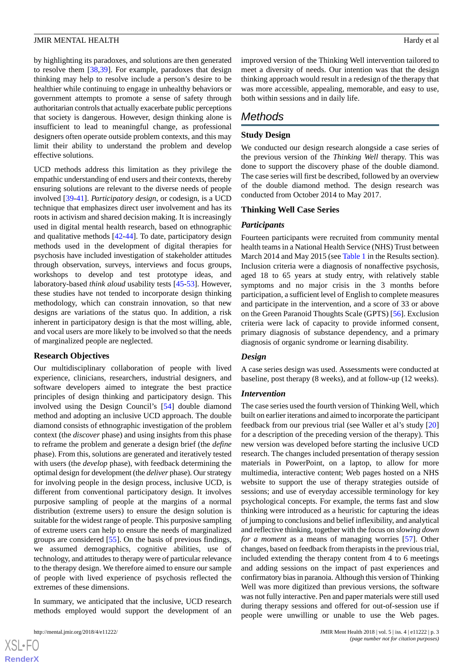by highlighting its paradoxes, and solutions are then generated to resolve them [\[38](#page-15-4),[39\]](#page-15-5). For example, paradoxes that design thinking may help to resolve include a person's desire to be healthier while continuing to engage in unhealthy behaviors or government attempts to promote a sense of safety through authoritarian controls that actually exacerbate public perceptions that society is dangerous. However, design thinking alone is insufficient to lead to meaningful change, as professional designers often operate outside problem contexts, and this may limit their ability to understand the problem and develop effective solutions.

UCD methods address this limitation as they privilege the empathic understanding of end users and their contexts, thereby ensuring solutions are relevant to the diverse needs of people involved [[39](#page-15-5)[-41](#page-15-6)]. *Participatory design*, or codesign, is a UCD technique that emphasizes direct user involvement and has its roots in activism and shared decision making. It is increasingly used in digital mental health research, based on ethnographic and qualitative methods [\[42](#page-15-7)-[44\]](#page-15-8). To date, participatory design methods used in the development of digital therapies for psychosis have included investigation of stakeholder attitudes through observation, surveys, interviews and focus groups, workshops to develop and test prototype ideas, and laboratory-based *think aloud* usability tests [[45-](#page-15-9)[53\]](#page-16-0). However, these studies have not tended to incorporate design thinking methodology, which can constrain innovation, so that new designs are variations of the status quo. In addition, a risk inherent in participatory design is that the most willing, able, and vocal users are more likely to be involved so that the needs of marginalized people are neglected.

#### **Research Objectives**

Our multidisciplinary collaboration of people with lived experience, clinicians, researchers, industrial designers, and software developers aimed to integrate the best practice principles of design thinking and participatory design. This involved using the Design Council's [[54\]](#page-16-1) double diamond method and adopting an inclusive UCD approach. The double diamond consists of ethnographic investigation of the problem context (the *discover* phase) and using insights from this phase to reframe the problem and generate a design brief (the *define* phase). From this, solutions are generated and iteratively tested with users (the *develop* phase), with feedback determining the optimal design for development (the *deliver* phase). Our strategy for involving people in the design process, inclusive UCD, is different from conventional participatory design. It involves purposive sampling of people at the margins of a normal distribution (extreme users) to ensure the design solution is suitable for the widest range of people. This purposive sampling of extreme users can help to ensure the needs of marginalized groups are considered [[55\]](#page-16-2). On the basis of previous findings, we assumed demographics, cognitive abilities, use of technology, and attitudes to therapy were of particular relevance to the therapy design. We therefore aimed to ensure our sample of people with lived experience of psychosis reflected the extremes of these dimensions.

In summary, we anticipated that the inclusive, UCD research methods employed would support the development of an

 $XS$  • FO **[RenderX](http://www.renderx.com/)** improved version of the Thinking Well intervention tailored to meet a diversity of needs. Our intention was that the design thinking approach would result in a redesign of the therapy that was more accessible, appealing, memorable, and easy to use, both within sessions and in daily life.

## *Methods*

#### **Study Design**

We conducted our design research alongside a case series of the previous version of the *Thinking Well* therapy. This was done to support the discovery phase of the double diamond. The case series will first be described, followed by an overview of the double diamond method. The design research was conducted from October 2014 to May 2017.

#### **Thinking Well Case Series**

#### *Participants*

Fourteen participants were recruited from community mental health teams in a National Health Service (NHS) Trust between March 2014 and May 2015 (see [Table 1](#page-5-0) in the Results section). Inclusion criteria were a diagnosis of nonaffective psychosis, aged 18 to 65 years at study entry, with relatively stable symptoms and no major crisis in the 3 months before participation, a sufficient level of English to complete measures and participate in the intervention, and a score of 33 or above on the Green Paranoid Thoughts Scale (GPTS) [[56\]](#page-16-3). Exclusion criteria were lack of capacity to provide informed consent, primary diagnosis of substance dependency, and a primary diagnosis of organic syndrome or learning disability.

#### *Design*

A case series design was used. Assessments were conducted at baseline, post therapy (8 weeks), and at follow-up (12 weeks).

#### *Intervention*

The case series used the fourth version of Thinking Well, which built on earlier iterations and aimed to incorporate the participant feedback from our previous trial (see Waller et al's study [\[20](#page-14-9)] for a description of the preceding version of the therapy). This new version was developed before starting the inclusive UCD research. The changes included presentation of therapy session materials in PowerPoint, on a laptop, to allow for more multimedia, interactive content; Web pages hosted on a NHS website to support the use of therapy strategies outside of sessions; and use of everyday accessible terminology for key psychological concepts. For example, the terms fast and slow thinking were introduced as a heuristic for capturing the ideas of jumping to conclusions and belief inflexibility, and analytical and reflective thinking, together with the focus on *slowing down for a moment* as a means of managing worries [[57\]](#page-16-4). Other changes, based on feedback from therapists in the previous trial, included extending the therapy content from 4 to 6 meetings and adding sessions on the impact of past experiences and confirmatory bias in paranoia. Although this version of Thinking Well was more digitized than previous versions, the software was not fully interactive. Pen and paper materials were still used during therapy sessions and offered for out-of-session use if people were unwilling or unable to use the Web pages.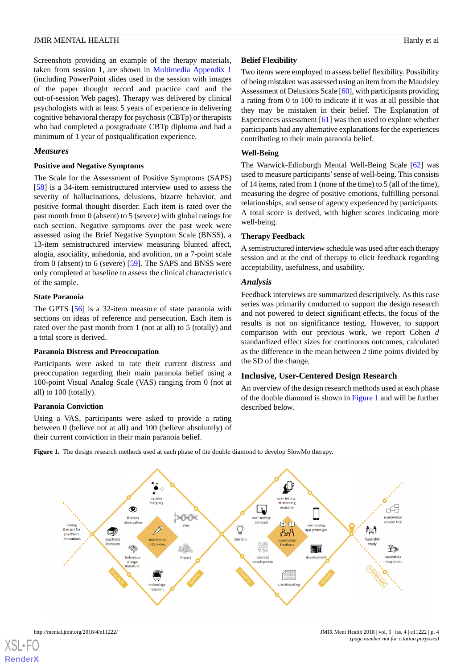Screenshots providing an example of the therapy materials, taken from session 1, are shown in [Multimedia Appendix 1](#page-13-6) (including PowerPoint slides used in the session with images of the paper thought record and practice card and the out-of-session Web pages). Therapy was delivered by clinical psychologists with at least 5 years of experience in delivering cognitive behavioral therapy for psychosis (CBTp) or therapists who had completed a postgraduate CBTp diploma and had a minimum of 1 year of postqualification experience.

#### *Measures*

#### **Positive and Negative Symptoms**

The Scale for the Assessment of Positive Symptoms (SAPS) [[58\]](#page-16-5) is a 34-item semistructured interview used to assess the severity of hallucinations, delusions, bizarre behavior, and positive formal thought disorder. Each item is rated over the past month from 0 (absent) to 5 (severe) with global ratings for each section. Negative symptoms over the past week were assessed using the Brief Negative Symptom Scale (BNSS), a 13-item semistructured interview measuring blunted affect, alogia, asociality, anhedonia, and avolition, on a 7-point scale from 0 (absent) to 6 (severe) [[59\]](#page-16-6). The SAPS and BNSS were only completed at baseline to assess the clinical characteristics of the sample.

#### **State Paranoia**

The GPTS [[56\]](#page-16-3) is a 32-item measure of state paranoia with sections on ideas of reference and persecution. Each item is rated over the past month from 1 (not at all) to 5 (totally) and a total score is derived.

#### **Paranoia Distress and Preoccupation**

Participants were asked to rate their current distress and preoccupation regarding their main paranoia belief using a 100-point Visual Analog Scale (VAS) ranging from 0 (not at all) to 100 (totally).

#### <span id="page-3-0"></span>**Paranoia Conviction**

Using a VAS, participants were asked to provide a rating between 0 (believe not at all) and 100 (believe absolutely) of their current conviction in their main paranoia belief.

## **Belief Flexibility**

Two items were employed to assess belief flexibility. Possibility of being mistaken was assessed using an item from the Maudsley Assessment of Delusions Scale [\[60\]](#page-16-7), with participants providing a rating from 0 to 100 to indicate if it was at all possible that they may be mistaken in their belief. The Explanation of Experiences assessment [[61\]](#page-16-8) was then used to explore whether participants had any alternative explanations for the experiences contributing to their main paranoia belief.

#### **Well-Being**

The Warwick-Edinburgh Mental Well-Being Scale [[62\]](#page-16-9) was used to measure participants'sense of well-being. This consists of 14 items, rated from 1 (none of the time) to 5 (all of the time), measuring the degree of positive emotions, fulfilling personal relationships, and sense of agency experienced by participants. A total score is derived, with higher scores indicating more well-being.

#### **Therapy Feedback**

A semistructured interview schedule was used after each therapy session and at the end of therapy to elicit feedback regarding acceptability, usefulness, and usability.

#### *Analysis*

Feedback interviews are summarized descriptively. As this case series was primarily conducted to support the design research and not powered to detect significant effects, the focus of the results is not on significance testing. However, to support comparison with our previous work, we report Cohen *d* standardized effect sizes for continuous outcomes, calculated as the difference in the mean between 2 time points divided by the SD of the change.

#### **Inclusive, User-Centered Design Research**

An overview of the design research methods used at each phase of the double diamond is shown in [Figure 1](#page-3-0) and will be further described below.

**Figure 1.** The design research methods used at each phase of the double diamond to develop SlowMo therapy.



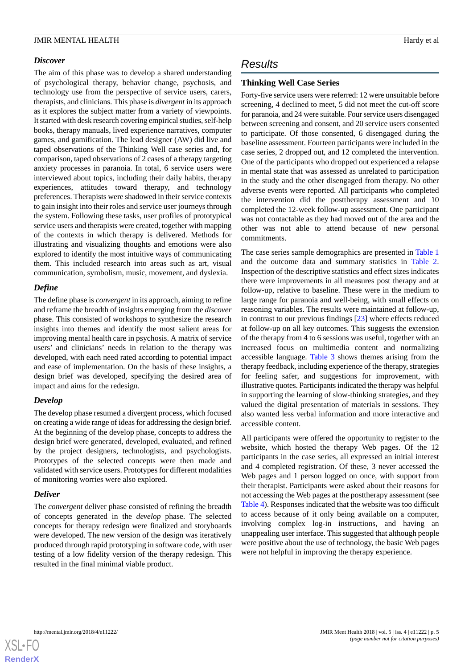#### *Discover*

The aim of this phase was to develop a shared understanding of psychological therapy, behavior change, psychosis, and technology use from the perspective of service users, carers, therapists, and clinicians. This phase is *divergent*in its approach as it explores the subject matter from a variety of viewpoints. It started with desk research covering empirical studies, self-help books, therapy manuals, lived experience narratives, computer games, and gamification. The lead designer (AW) did live and taped observations of the Thinking Well case series and, for comparison, taped observations of 2 cases of a therapy targeting anxiety processes in paranoia. In total, 6 service users were interviewed about topics, including their daily habits, therapy experiences, attitudes toward therapy, and technology preferences. Therapists were shadowed in their service contexts to gain insight into their roles and service user journeys through the system. Following these tasks, user profiles of prototypical service users and therapists were created, together with mapping of the contexts in which therapy is delivered. Methods for illustrating and visualizing thoughts and emotions were also explored to identify the most intuitive ways of communicating them. This included research into areas such as art, visual communication, symbolism, music, movement, and dyslexia.

## *Define*

The define phase is *convergent*in its approach, aiming to refine and reframe the breadth of insights emerging from the *discover* phase. This consisted of workshops to synthesize the research insights into themes and identify the most salient areas for improving mental health care in psychosis. A matrix of service users' and clinicians' needs in relation to the therapy was developed, with each need rated according to potential impact and ease of implementation. On the basis of these insights, a design brief was developed, specifying the desired area of impact and aims for the redesign.

## *Develop*

The develop phase resumed a divergent process, which focused on creating a wide range of ideas for addressing the design brief. At the beginning of the develop phase, concepts to address the design brief were generated, developed, evaluated, and refined by the project designers, technologists, and psychologists. Prototypes of the selected concepts were then made and validated with service users. Prototypes for different modalities of monitoring worries were also explored.

## *Deliver*

The *convergent* deliver phase consisted of refining the breadth of concepts generated in the *develop* phase. The selected concepts for therapy redesign were finalized and storyboards were developed. The new version of the design was iteratively produced through rapid prototyping in software code, with user testing of a low fidelity version of the therapy redesign. This resulted in the final minimal viable product.

## *Results*

## **Thinking Well Case Series**

Forty-five service users were referred: 12 were unsuitable before screening, 4 declined to meet, 5 did not meet the cut-off score for paranoia, and 24 were suitable. Four service users disengaged between screening and consent, and 20 service users consented to participate. Of those consented, 6 disengaged during the baseline assessment. Fourteen participants were included in the case series, 2 dropped out, and 12 completed the intervention. One of the participants who dropped out experienced a relapse in mental state that was assessed as unrelated to participation in the study and the other disengaged from therapy. No other adverse events were reported. All participants who completed the intervention did the posttherapy assessment and 10 completed the 12-week follow-up assessment. One participant was not contactable as they had moved out of the area and the other was not able to attend because of new personal commitments.

The case series sample demographics are presented in [Table 1](#page-5-0) and the outcome data and summary statistics in [Table 2](#page-6-0). Inspection of the descriptive statistics and effect sizes indicates there were improvements in all measures post therapy and at follow-up, relative to baseline. These were in the medium to large range for paranoia and well-being, with small effects on reasoning variables. The results were maintained at follow-up, in contrast to our previous findings [\[23](#page-14-12)] where effects reduced at follow-up on all key outcomes. This suggests the extension of the therapy from 4 to 6 sessions was useful, together with an increased focus on multimedia content and normalizing accessible language. [Table 3](#page-6-1) shows themes arising from the therapy feedback, including experience of the therapy, strategies for feeling safer, and suggestions for improvement, with illustrative quotes. Participants indicated the therapy was helpful in supporting the learning of slow-thinking strategies, and they valued the digital presentation of materials in sessions. They also wanted less verbal information and more interactive and accessible content.

All participants were offered the opportunity to register to the website, which hosted the therapy Web pages. Of the 12 participants in the case series, all expressed an initial interest and 4 completed registration. Of these, 3 never accessed the Web pages and 1 person logged on once, with support from their therapist. Participants were asked about their reasons for not accessing the Web pages at the posttherapy assessment (see [Table 4\)](#page-6-2). Responses indicated that the website was too difficult to access because of it only being available on a computer, involving complex log-in instructions, and having an unappealing user interface. This suggested that although people were positive about the use of technology, the basic Web pages were not helpful in improving the therapy experience.

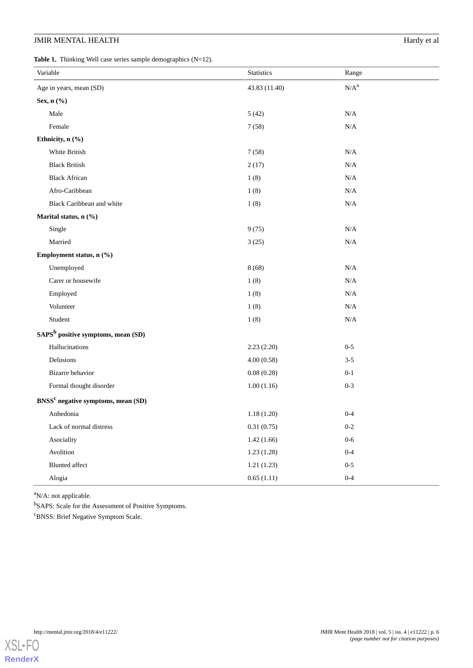## **JMIR MENTAL HEALTH** Hardy et al

<span id="page-5-0"></span>**Table 1.** Thinking Well case series sample demographics (N=12).

| Variable                                       | Statistics    | Range     |  |  |
|------------------------------------------------|---------------|-----------|--|--|
| Age in years, mean (SD)                        | 43.83 (11.40) | $N/A^a$   |  |  |
| Sex, n (%)                                     |               |           |  |  |
| Male                                           | 5(42)         | $\rm N/A$ |  |  |
| Female                                         | 7(58)         | N/A       |  |  |
| Ethnicity, n (%)                               |               |           |  |  |
| White British                                  | 7(58)         | $\rm N/A$ |  |  |
| <b>Black British</b>                           | 2(17)         | $\rm N/A$ |  |  |
| <b>Black African</b>                           | 1(8)          | $\rm N/A$ |  |  |
| Afro-Caribbean                                 | 1(8)          | $\rm N/A$ |  |  |
| Black Caribbean and white                      | 1(8)          | $\rm N/A$ |  |  |
| Marital status, n (%)                          |               |           |  |  |
| Single                                         | 9(75)         | $\rm N/A$ |  |  |
| Married                                        | 3(25)         | $\rm N/A$ |  |  |
| Employment status, n (%)                       |               |           |  |  |
| Unemployed                                     | 8(68)         | N/A       |  |  |
| Carer or housewife                             | 1(8)          | $\rm N/A$ |  |  |
| Employed                                       | 1(8)          | $\rm N/A$ |  |  |
| Volunteer                                      | 1(8)          | $\rm N/A$ |  |  |
| Student                                        | 1(8)          | N/A       |  |  |
| SAPS <sup>b</sup> positive symptoms, mean (SD) |               |           |  |  |
| Hallucinations                                 | 2.23(2.20)    | $0 - 5$   |  |  |
| Delusions                                      | 4.00(0.58)    | $3 - 5$   |  |  |
| Bizarre behavior                               | 0.08(0.28)    | $0 - 1$   |  |  |
| Formal thought disorder                        | 1.00(1.16)    | $0 - 3$   |  |  |
| BNSS <sup>c</sup> negative symptoms, mean (SD) |               |           |  |  |
| Anhedonia                                      | 1.18(1.20)    | $0 - 4$   |  |  |
| Lack of normal distress                        | 0.31(0.75)    | $0-2$     |  |  |
| Asociality                                     | 1.42(1.66)    | $0-6$     |  |  |
| Avolition                                      | 1.23(1.28)    | $0 - 4$   |  |  |
| <b>Blunted</b> affect                          | 1.21(1.23)    | $0 - 5$   |  |  |
| Alogia                                         | 0.65(1.11)    | $0-4$     |  |  |

<sup>a</sup>N/A: not applicable.

<sup>b</sup>SAPS: Scale for the Assessment of Positive Symptoms.

<sup>c</sup>BNSS: Brief Negative Symptom Scale.

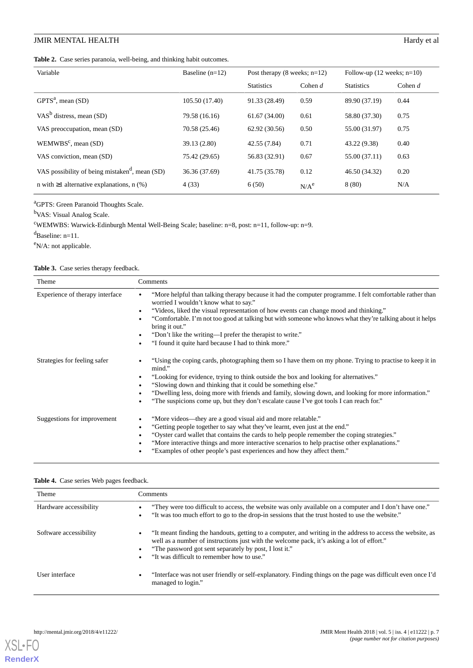## **JMIR MENTAL HEALTH** Hardy et al

#### <span id="page-6-0"></span>**Table 2.** Case series paranoia, well-being, and thinking habit outcomes.

| Variable                                                   | Baseline $(n=12)$ | Post therapy $(8 \text{ weeks}; n=12)$ |                  | Follow-up $(12 \text{ weeks}; n=10)$ |           |
|------------------------------------------------------------|-------------------|----------------------------------------|------------------|--------------------------------------|-----------|
|                                                            |                   | <b>Statistics</b>                      | Cohen $d$        | <b>Statistics</b>                    | Cohen $d$ |
| GPTS <sup>a</sup> , mean (SD)                              | 105.50 (17.40)    | 91.33 (28.49)                          | 0.59             | 89.90 (37.19)                        | 0.44      |
| VAS <sup>b</sup> distress, mean $(SD)$                     | 79.58 (16.16)     | 61.67(34.00)                           | 0.61             | 58.80 (37.30)                        | 0.75      |
| VAS preoccupation, mean (SD)                               | 70.58 (25.46)     | 62.92 (30.56)                          | 0.50             | 55.00 (31.97)                        | 0.75      |
| $WEMWBSc$ , mean (SD)                                      | 39.13 (2.80)      | 42.55 (7.84)                           | 0.71             | 43.22 (9.38)                         | 0.40      |
| VAS conviction, mean (SD)                                  | 75.42 (29.65)     | 56.83 (32.91)                          | 0.67             | 55.00 (37.11)                        | 0.63      |
| VAS possibility of being mistaken <sup>d</sup> , mean (SD) | 36.36 (37.69)     | 41.75 (35.78)                          | 0.12             | 46.50 (34.32)                        | 0.20      |
| n with $\geq 1$ alternative explanations, n (%)            | 4(33)             | 6(50)                                  | N/A <sup>e</sup> | 8(80)                                | N/A       |

<sup>a</sup>GPTS: Green Paranoid Thoughts Scale.

<sup>b</sup>VAS: Visual Analog Scale.

<sup>c</sup>WEMWBS: Warwick-Edinburgh Mental Well-Being Scale; baseline: n=8, post: n=11, follow-up: n=9.

 $d$ Baseline: n=11.

<span id="page-6-1"></span><sup>e</sup>N/A: not applicable.

#### Table 3. Case series therapy feedback.

| Theme                           | Comments                                                                                                                                                                                                                                                                                                                                                                                                                                                                                                                     |
|---------------------------------|------------------------------------------------------------------------------------------------------------------------------------------------------------------------------------------------------------------------------------------------------------------------------------------------------------------------------------------------------------------------------------------------------------------------------------------------------------------------------------------------------------------------------|
| Experience of therapy interface | "More helpful than talking therapy because it had the computer programme. I felt comfortable rather than<br>worried I wouldn't know what to say."<br>"Videos, liked the visual representation of how events can change mood and thinking."<br>$\bullet$<br>"Comfortable. I'm not too good at talking but with someone who knows what they're talking about it helps<br>bring it out."<br>"Don't like the writing—I prefer the therapist to write."<br>٠<br>"I found it quite hard because I had to think more."<br>$\bullet$ |
| Strategies for feeling safer    | "Using the coping cards, photographing them so I have them on my phone. Trying to practise to keep it in<br>$\bullet$<br>mind."<br>"Looking for evidence, trying to think outside the box and looking for alternatives."<br>"Slowing down and thinking that it could be something else."<br>"Dwelling less, doing more with friends and family, slowing down, and looking for more information."<br>$\bullet$<br>"The suspicions come up, but they don't escalate cause I've got tools I can reach for."                     |
| Suggestions for improvement     | "More videos—they are a good visual aid and more relatable."<br>$\bullet$<br>"Getting people together to say what they've learnt, even just at the end."<br>"Oyster card wallet that contains the cards to help people remember the coping strategies."<br>$\bullet$<br>"More interactive things and more interactive scenarios to help practise other explanations."<br>"Examples of other people's past experiences and how they affect them."                                                                             |

#### <span id="page-6-2"></span>**Table 4.** Case series Web pages feedback.

| <b>Theme</b>           | Comments                                                                                                                                                                                                                                                                                                                                         |
|------------------------|--------------------------------------------------------------------------------------------------------------------------------------------------------------------------------------------------------------------------------------------------------------------------------------------------------------------------------------------------|
| Hardware accessibility | "They were too difficult to access, the website was only available on a computer and I don't have one."<br>"It was too much effort to go to the drop-in sessions that the trust hosted to use the website."                                                                                                                                      |
| Software accessibility | "It meant finding the handouts, getting to a computer, and writing in the address to access the website, as<br>$\bullet$<br>well as a number of instructions just with the welcome pack, it's asking a lot of effort."<br>"The password got sent separately by post, I lost it."<br>$\bullet$<br>"It was difficult to remember how to use."<br>٠ |
| User interface         | "Interface was not user friendly or self-explanatory. Finding things on the page was difficult even once I'd<br>$\bullet$<br>managed to login."                                                                                                                                                                                                  |



**[RenderX](http://www.renderx.com/)**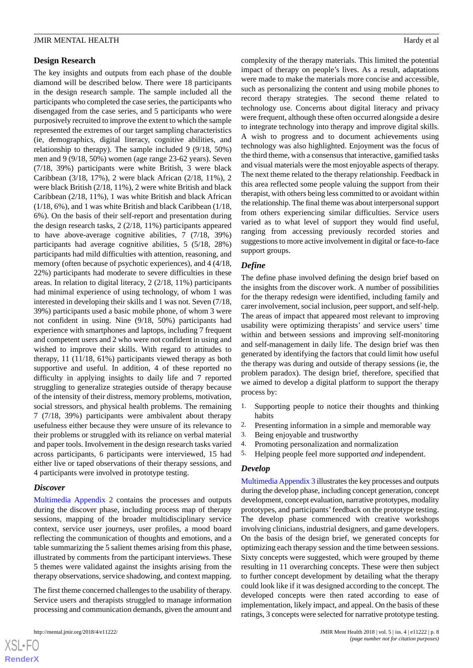#### **Design Research**

The key insights and outputs from each phase of the double diamond will be described below. There were 18 participants in the design research sample. The sample included all the participants who completed the case series, the participants who disengaged from the case series, and 5 participants who were purposively recruited to improve the extent to which the sample represented the extremes of our target sampling characteristics (ie, demographics, digital literacy, cognitive abilities, and relationship to therapy). The sample included 9 (9/18, 50%) men and 9 (9/18, 50%) women (age range 23-62 years). Seven (7/18, 39%) participants were white British, 3 were black Caribbean (3/18, 17%), 2 were black African (2/18, 11%), 2 were black British (2/18, 11%), 2 were white British and black Caribbean (2/18, 11%), 1 was white British and black African (1/18, 6%), and 1 was white British and black Caribbean (1/18, 6%). On the basis of their self-report and presentation during the design research tasks, 2 (2/18, 11%) participants appeared to have above-average cognitive abilities, 7 (7/18, 39%) participants had average cognitive abilities, 5 (5/18, 28%) participants had mild difficulties with attention, reasoning, and memory (often because of psychotic experiences), and 4 (4/18, 22%) participants had moderate to severe difficulties in these areas. In relation to digital literacy, 2 (2/18, 11%) participants had minimal experience of using technology, of whom 1 was interested in developing their skills and 1 was not. Seven (7/18, 39%) participants used a basic mobile phone, of whom 3 were not confident in using. Nine (9/18, 50%) participants had experience with smartphones and laptops, including 7 frequent and competent users and 2 who were not confident in using and wished to improve their skills. With regard to attitudes to therapy, 11 (11/18, 61%) participants viewed therapy as both supportive and useful. In addition, 4 of these reported no difficulty in applying insights to daily life and 7 reported struggling to generalize strategies outside of therapy because of the intensity of their distress, memory problems, motivation, social stressors, and physical health problems. The remaining 7 (7/18, 39%) participants were ambivalent about therapy usefulness either because they were unsure of its relevance to their problems or struggled with its reliance on verbal material and paper tools. Involvement in the design research tasks varied across participants, 6 participants were interviewed, 15 had either live or taped observations of their therapy sessions, and 4 participants were involved in prototype testing.

#### *Discover*

[Multimedia Appendix 2](#page-13-7) contains the processes and outputs during the discover phase, including process map of therapy sessions, mapping of the broader multidisciplinary service context, service user journeys, user profiles, a mood board reflecting the communication of thoughts and emotions, and a table summarizing the 5 salient themes arising from this phase, illustrated by comments from the participant interviews. These 5 themes were validated against the insights arising from the therapy observations, service shadowing, and context mapping.

The first theme concerned challenges to the usability of therapy. Service users and therapists struggled to manage information processing and communication demands, given the amount and

 $XS$  $\cdot$ FC **[RenderX](http://www.renderx.com/)** complexity of the therapy materials. This limited the potential impact of therapy on people's lives. As a result, adaptations were made to make the materials more concise and accessible, such as personalizing the content and using mobile phones to record therapy strategies. The second theme related to technology use. Concerns about digital literacy and privacy were frequent, although these often occurred alongside a desire to integrate technology into therapy and improve digital skills. A wish to progress and to document achievements using technology was also highlighted. Enjoyment was the focus of the third theme, with a consensus that interactive, gamified tasks and visual materials were the most enjoyable aspects of therapy. The next theme related to the therapy relationship. Feedback in this area reflected some people valuing the support from their therapist, with others being less committed to or avoidant within the relationship. The final theme was about interpersonal support from others experiencing similar difficulties. Service users varied as to what level of support they would find useful, ranging from accessing previously recorded stories and suggestions to more active involvement in digital or face-to-face support groups.

### *Define*

The define phase involved defining the design brief based on the insights from the discover work. A number of possibilities for the therapy redesign were identified, including family and carer involvement, social inclusion, peer support, and self-help. The areas of impact that appeared most relevant to improving usability were optimizing therapists' and service users' time within and between sessions and improving self-monitoring and self-management in daily life. The design brief was then generated by identifying the factors that could limit how useful the therapy was during and outside of therapy sessions (ie, the problem paradox). The design brief, therefore, specified that we aimed to develop a digital platform to support the therapy process by:

- 1. Supporting people to notice their thoughts and thinking habits
- 2. Presenting information in a simple and memorable way
- 3. Being enjoyable and trustworthy
- 4. Promoting personalization and normalization
- 5. Helping people feel more supported *and* independent.

#### *Develop*

[Multimedia Appendix 3](#page-13-8) illustrates the key processes and outputs during the develop phase, including concept generation, concept development, concept evaluation, narrative prototypes, modality prototypes, and participants'feedback on the prototype testing. The develop phase commenced with creative workshops involving clinicians, industrial designers, and game developers. On the basis of the design brief, we generated concepts for optimizing each therapy session and the time between sessions. Sixty concepts were suggested, which were grouped by theme resulting in 11 overarching concepts. These were then subject to further concept development by detailing what the therapy could look like if it was designed according to the concept. The developed concepts were then rated according to ease of implementation, likely impact, and appeal. On the basis of these ratings, 3 concepts were selected for narrative prototype testing.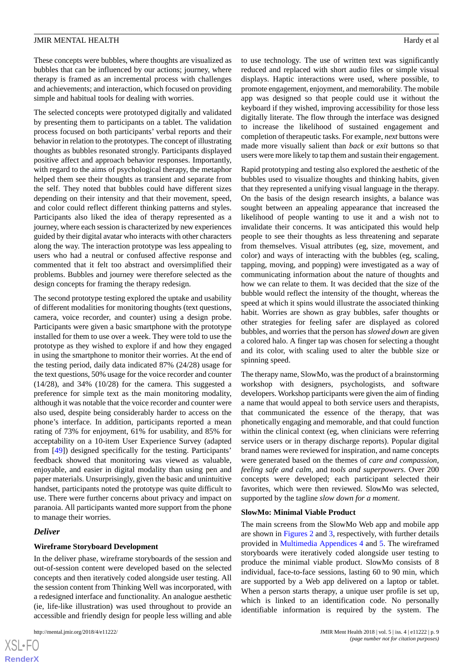These concepts were bubbles, where thoughts are visualized as bubbles that can be influenced by our actions; journey, where therapy is framed as an incremental process with challenges and achievements; and interaction, which focused on providing simple and habitual tools for dealing with worries.

The selected concepts were prototyped digitally and validated by presenting them to participants on a tablet. The validation process focused on both participants' verbal reports and their behavior in relation to the prototypes. The concept of illustrating thoughts as bubbles resonated strongly. Participants displayed positive affect and approach behavior responses. Importantly, with regard to the aims of psychological therapy, the metaphor helped them see their thoughts as transient and separate from the self. They noted that bubbles could have different sizes depending on their intensity and that their movement, speed, and color could reflect different thinking patterns and styles. Participants also liked the idea of therapy represented as a journey, where each session is characterized by new experiences guided by their digital avatar who interacts with other characters along the way. The interaction prototype was less appealing to users who had a neutral or confused affective response and commented that it felt too abstract and oversimplified their problems. Bubbles and journey were therefore selected as the design concepts for framing the therapy redesign.

The second prototype testing explored the uptake and usability of different modalities for monitoring thoughts (text questions, camera, voice recorder, and counter) using a design probe. Participants were given a basic smartphone with the prototype installed for them to use over a week. They were told to use the prototype as they wished to explore if and how they engaged in using the smartphone to monitor their worries. At the end of the testing period, daily data indicated 87% (24/28) usage for the text questions, 50% usage for the voice recorder and counter (14/28), and 34% (10/28) for the camera. This suggested a preference for simple text as the main monitoring modality, although it was notable that the voice recorder and counter were also used, despite being considerably harder to access on the phone's interface. In addition, participants reported a mean rating of 73% for enjoyment, 61% for usability, and 85% for acceptability on a 10-item User Experience Survey (adapted from [[49\]](#page-15-10)) designed specifically for the testing. Participants' feedback showed that monitoring was viewed as valuable, enjoyable, and easier in digital modality than using pen and paper materials. Unsurprisingly, given the basic and unintuitive handset, participants noted the prototype was quite difficult to use. There were further concerns about privacy and impact on paranoia. All participants wanted more support from the phone to manage their worries.

#### *Deliver*

#### **Wireframe Storyboard Development**

In the deliver phase, wireframe storyboards of the session and out-of-session content were developed based on the selected concepts and then iteratively coded alongside user testing. All the session content from Thinking Well was incorporated, with a redesigned interface and functionality. An analogue aesthetic (ie, life-like illustration) was used throughout to provide an accessible and friendly design for people less willing and able

to use technology. The use of written text was significantly reduced and replaced with short audio files or simple visual displays. Haptic interactions were used, where possible, to promote engagement, enjoyment, and memorability. The mobile app was designed so that people could use it without the keyboard if they wished, improving accessibility for those less digitally literate. The flow through the interface was designed to increase the likelihood of sustained engagement and completion of therapeutic tasks. For example, *next* buttons were made more visually salient than *back* or *exit* buttons so that users were more likely to tap them and sustain their engagement.

Rapid prototyping and testing also explored the aesthetic of the bubbles used to visualize thoughts and thinking habits, given that they represented a unifying visual language in the therapy. On the basis of the design research insights, a balance was sought between an appealing appearance that increased the likelihood of people wanting to use it and a wish not to invalidate their concerns. It was anticipated this would help people to see their thoughts as less threatening and separate from themselves. Visual attributes (eg, size, movement, and color) and ways of interacting with the bubbles (eg, scaling, tapping, moving, and popping) were investigated as a way of communicating information about the nature of thoughts and how we can relate to them. It was decided that the size of the bubble would reflect the intensity of the thought, whereas the speed at which it spins would illustrate the associated thinking habit. Worries are shown as gray bubbles, safer thoughts or other strategies for feeling safer are displayed as colored bubbles, and worries that the person has *slowed down* are given a colored halo. A finger tap was chosen for selecting a thought and its color, with scaling used to alter the bubble size or spinning speed.

The therapy name, SlowMo, was the product of a brainstorming workshop with designers, psychologists, and software developers. Workshop participants were given the aim of finding a name that would appeal to both service users and therapists, that communicated the essence of the therapy, that was phonetically engaging and memorable, and that could function within the clinical context (eg, when clinicians were referring service users or in therapy discharge reports). Popular digital brand names were reviewed for inspiration, and name concepts were generated based on the themes of *care and compassion*, *feeling safe and calm*, and *tools and superpowers*. Over 200 concepts were developed; each participant selected their favorites, which were then reviewed. SlowMo was selected, supported by the tagline *slow down for a moment*.

#### **SlowMo: Minimal Viable Product**

The main screens from the SlowMo Web app and mobile app are shown in [Figures 2](#page-9-0) and [3](#page-10-0), respectively, with further details provided in [Multimedia Appendices 4](#page-13-9) and [5.](#page-13-10) The wireframed storyboards were iteratively coded alongside user testing to produce the minimal viable product. SlowMo consists of 8 individual, face-to-face sessions, lasting 60 to 90 min, which are supported by a Web app delivered on a laptop or tablet. When a person starts therapy, a unique user profile is set up, which is linked to an identification code. No personally identifiable information is required by the system. The

```
XS-FO
RenderX
```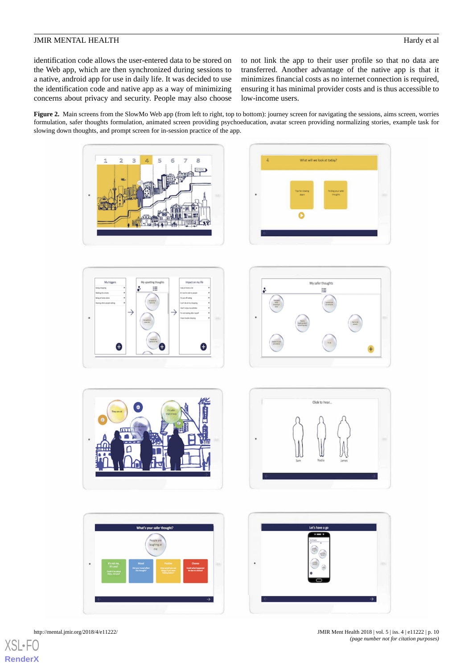identification code allows the user-entered data to be stored on the Web app, which are then synchronized during sessions to a native, android app for use in daily life. It was decided to use the identification code and native app as a way of minimizing concerns about privacy and security. People may also choose to not link the app to their user profile so that no data are transferred. Another advantage of the native app is that it minimizes financial costs as no internet connection is required, ensuring it has minimal provider costs and is thus accessible to low-income users.

<span id="page-9-0"></span>**Figure 2.** Main screens from the SlowMo Web app (from left to right, top to bottom): journey screen for navigating the sessions, aims screen, worries formulation, safer thoughts formulation, animated screen providing psychoeducation, avatar screen providing normalizing stories, example task for slowing down thoughts, and prompt screen for in-session practice of the app.

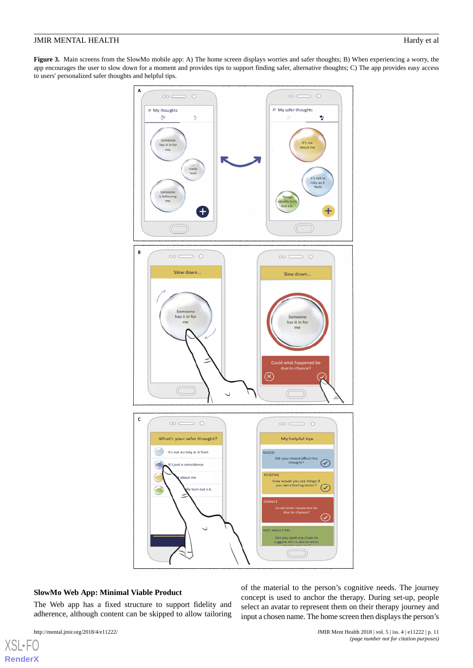<span id="page-10-0"></span>**Figure 3.** Main screens from the SlowMo mobile app: A) The home screen displays worries and safer thoughts; B) When experiencing a worry, the app encourages the user to slow down for a moment and provides tips to support finding safer, alternative thoughts; C) The app provides easy access to users' personalized safer thoughts and helpful tips.



#### **SlowMo Web App: Minimal Viable Product**

The Web app has a fixed structure to support fidelity and adherence, although content can be skipped to allow tailoring

[XSL](http://www.w3.org/Style/XSL)•FO **[RenderX](http://www.renderx.com/)** of the material to the person's cognitive needs. The journey concept is used to anchor the therapy. During set-up, people select an avatar to represent them on their therapy journey and input a chosen name. The home screen then displays the person's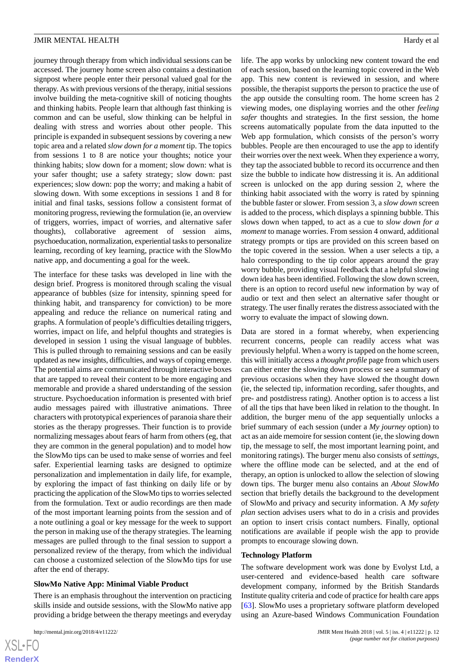journey through therapy from which individual sessions can be accessed. The journey home screen also contains a destination signpost where people enter their personal valued goal for the therapy. As with previous versions of the therapy, initial sessions involve building the meta-cognitive skill of noticing thoughts and thinking habits. People learn that although fast thinking is common and can be useful, slow thinking can be helpful in dealing with stress and worries about other people. This principle is expanded in subsequent sessions by covering a new topic area and a related *slow down for a moment* tip. The topics from sessions 1 to 8 are notice your thoughts; notice your thinking habits; slow down for a moment; slow down: what is your safer thought; use a safety strategy; slow down: past experiences; slow down: pop the worry; and making a habit of slowing down. With some exceptions in sessions 1 and 8 for initial and final tasks, sessions follow a consistent format of monitoring progress, reviewing the formulation (ie, an overview of triggers, worries, impact of worries, and alternative safer thoughts), collaborative agreement of session aims, psychoeducation, normalization, experiential tasks to personalize learning, recording of key learning, practice with the SlowMo native app, and documenting a goal for the week.

The interface for these tasks was developed in line with the design brief. Progress is monitored through scaling the visual appearance of bubbles (size for intensity, spinning speed for thinking habit, and transparency for conviction) to be more appealing and reduce the reliance on numerical rating and graphs. A formulation of people's difficulties detailing triggers, worries, impact on life, and helpful thoughts and strategies is developed in session 1 using the visual language of bubbles. This is pulled through to remaining sessions and can be easily updated as new insights, difficulties, and ways of coping emerge. The potential aims are communicated through interactive boxes that are tapped to reveal their content to be more engaging and memorable and provide a shared understanding of the session structure. Psychoeducation information is presented with brief audio messages paired with illustrative animations. Three characters with prototypical experiences of paranoia share their stories as the therapy progresses. Their function is to provide normalizing messages about fears of harm from others (eg, that they are common in the general population) and to model how the SlowMo tips can be used to make sense of worries and feel safer. Experiential learning tasks are designed to optimize personalization and implementation in daily life, for example, by exploring the impact of fast thinking on daily life or by practicing the application of the SlowMo tips to worries selected from the formulation. Text or audio recordings are then made of the most important learning points from the session and of a note outlining a goal or key message for the week to support the person in making use of the therapy strategies. The learning messages are pulled through to the final session to support a personalized review of the therapy, from which the individual can choose a customized selection of the SlowMo tips for use after the end of therapy.

## **SlowMo Native App: Minimal Viable Product**

There is an emphasis throughout the intervention on practicing skills inside and outside sessions, with the SlowMo native app providing a bridge between the therapy meetings and everyday

life. The app works by unlocking new content toward the end of each session, based on the learning topic covered in the Web app. This new content is reviewed in session, and where possible, the therapist supports the person to practice the use of the app outside the consulting room. The home screen has 2 viewing modes, one displaying worries and the other *feeling safer* thoughts and strategies. In the first session, the home screens automatically populate from the data inputted to the Web app formulation, which consists of the person's worry bubbles. People are then encouraged to use the app to identify their worries over the next week. When they experience a worry, they tap the associated bubble to record its occurrence and then size the bubble to indicate how distressing it is. An additional screen is unlocked on the app during session 2, where the thinking habit associated with the worry is rated by spinning the bubble faster or slower. From session 3, a *slow down* screen is added to the process, which displays a spinning bubble. This slows down when tapped, to act as a cue to *slow down for a moment* to manage worries. From session 4 onward, additional strategy prompts or tips are provided on this screen based on the topic covered in the session. When a user selects a tip, a halo corresponding to the tip color appears around the gray worry bubble, providing visual feedback that a helpful slowing down idea has been identified. Following the slow down screen, there is an option to record useful new information by way of audio or text and then select an alternative safer thought or strategy. The user finally rerates the distress associated with the worry to evaluate the impact of slowing down.

Data are stored in a format whereby, when experiencing recurrent concerns, people can readily access what was previously helpful. When a worry is tapped on the home screen, this will initially access a *thought profile* page from which users can either enter the slowing down process or see a summary of previous occasions when they have slowed the thought down (ie, the selected tip, information recording, safer thoughts, and pre- and postdistress rating). Another option is to access a list of all the tips that have been liked in relation to the thought. In addition, the burger menu of the app sequentially unlocks a brief summary of each session (under a *My journey* option) to act as an aide memoire for session content (ie, the slowing down tip, the message to self, the most important learning point, and monitoring ratings). The burger menu also consists of *settings*, where the offline mode can be selected, and at the end of therapy, an option is unlocked to allow the selection of slowing down tips. The burger menu also contains an *About SlowMo* section that briefly details the background to the development of SlowMo and privacy and security information. A *My safety plan* section advises users what to do in a crisis and provides an option to insert crisis contact numbers. Finally, optional notifications are available if people wish the app to provide prompts to encourage slowing down.

#### **Technology Platform**

The software development work was done by Evolyst Ltd, a user-centered and evidence-based health care software development company, informed by the British Standards Institute quality criteria and code of practice for health care apps [[63\]](#page-16-10). SlowMo uses a proprietary software platform developed using an Azure-based Windows Communication Foundation

 $XS$ -FO **[RenderX](http://www.renderx.com/)**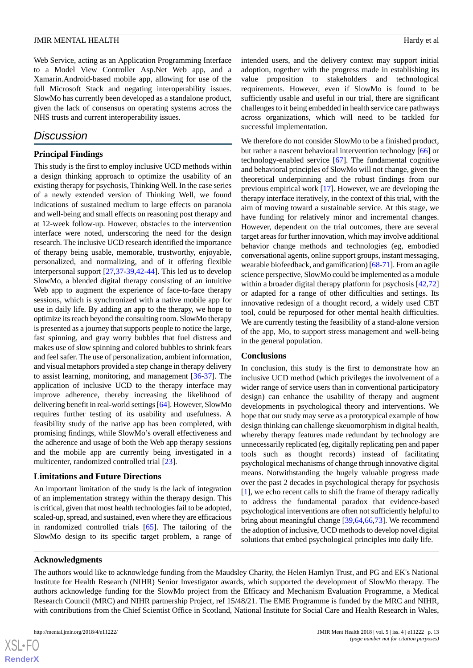Web Service, acting as an Application Programming Interface to a Model View Controller Asp.Net Web app, and a Xamarin.Android-based mobile app, allowing for use of the full Microsoft Stack and negating interoperability issues. SlowMo has currently been developed as a standalone product, given the lack of consensus on operating systems across the NHS trusts and current interoperability issues.

## *Discussion*

## **Principal Findings**

This study is the first to employ inclusive UCD methods within a design thinking approach to optimize the usability of an existing therapy for psychosis, Thinking Well. In the case series of a newly extended version of Thinking Well, we found indications of sustained medium to large effects on paranoia and well-being and small effects on reasoning post therapy and at 12-week follow-up. However, obstacles to the intervention interface were noted, underscoring the need for the design research. The inclusive UCD research identified the importance of therapy being usable, memorable, trustworthy, enjoyable, personalized, and normalizing, and of it offering flexible interpersonal support [\[27](#page-14-15),[37-](#page-15-3)[39](#page-15-5),[42-](#page-15-7)[44\]](#page-15-8). This led us to develop SlowMo, a blended digital therapy consisting of an intuitive Web app to augment the experience of face-to-face therapy sessions, which is synchronized with a native mobile app for use in daily life. By adding an app to the therapy, we hope to optimize its reach beyond the consulting room. SlowMo therapy is presented as a journey that supports people to notice the large, fast spinning, and gray worry bubbles that fuel distress and makes use of slow spinning and colored bubbles to shrink fears and feel safer. The use of personalization, ambient information, and visual metaphors provided a step change in therapy delivery to assist learning, monitoring, and management [[36-](#page-15-2)[37\]](#page-15-3). The application of inclusive UCD to the therapy interface may improve adherence, thereby increasing the likelihood of delivering benefit in real-world settings [[64\]](#page-16-11). However, SlowMo requires further testing of its usability and usefulness. A feasibility study of the native app has been completed, with promising findings, while SlowMo's overall effectiveness and the adherence and usage of both the Web app therapy sessions and the mobile app are currently being investigated in a multicenter, randomized controlled trial [\[23](#page-14-12)].

#### **Limitations and Future Directions**

An important limitation of the study is the lack of integration of an implementation strategy within the therapy design. This is critical, given that most health technologies fail to be adopted, scaled-up, spread, and sustained, even where they are efficacious in randomized controlled trials [[65\]](#page-16-12). The tailoring of the SlowMo design to its specific target problem, a range of intended users, and the delivery context may support initial adoption, together with the progress made in establishing its value proposition to stakeholders and technological requirements. However, even if SlowMo is found to be sufficiently usable and useful in our trial, there are significant challenges to it being embedded in health service care pathways across organizations, which will need to be tackled for successful implementation.

We therefore do not consider SlowMo to be a finished product, but rather a nascent behavioral intervention technology [[66\]](#page-16-13) or technology-enabled service [\[67](#page-16-14)]. The fundamental cognitive and behavioral principles of SlowMo will not change, given the theoretical underpinning and the robust findings from our previous empirical work [[17\]](#page-14-6). However, we are developing the therapy interface iteratively, in the context of this trial, with the aim of moving toward a sustainable service. At this stage, we have funding for relatively minor and incremental changes. However, dependent on the trial outcomes, there are several target areas for further innovation, which may involve additional behavior change methods and technologies (eg, embodied conversational agents, online support groups, instant messaging, wearable biofeedback, and gamification) [\[68](#page-16-15)[-71](#page-16-16)]. From an agile science perspective, SlowMo could be implemented as a module within a broader digital therapy platform for psychosis [[42](#page-15-7)[,72](#page-16-17)] or adapted for a range of other difficulties and settings. Its innovative redesign of a thought record, a widely used CBT tool, could be repurposed for other mental health difficulties. We are currently testing the feasibility of a stand-alone version of the app, Mo, to support stress management and well-being in the general population.

#### **Conclusions**

In conclusion, this study is the first to demonstrate how an inclusive UCD method (which privileges the involvement of a wider range of service users than in conventional participatory design) can enhance the usability of therapy and augment developments in psychological theory and interventions. We hope that our study may serve as a prototypical example of how design thinking can challenge skeuomorphism in digital health, whereby therapy features made redundant by technology are unnecessarily replicated (eg, digitally replicating pen and paper tools such as thought records) instead of facilitating psychological mechanisms of change through innovative digital means. Notwithstanding the hugely valuable progress made over the past 2 decades in psychological therapy for psychosis [[1\]](#page-13-0), we echo recent calls to shift the frame of therapy radically to address the fundamental paradox that evidence-based psychological interventions are often not sufficiently helpful to bring about meaningful change [\[39](#page-15-5),[64,](#page-16-11)[66](#page-16-13),[73\]](#page-16-18). We recommend the adoption of inclusive, UCD methods to develop novel digital solutions that embed psychological principles into daily life.

#### **Acknowledgments**

The authors would like to acknowledge funding from the Maudsley Charity, the Helen Hamlyn Trust, and PG and EK's National Institute for Health Research (NIHR) Senior Investigator awards, which supported the development of SlowMo therapy. The authors acknowledge funding for the SlowMo project from the Efficacy and Mechanism Evaluation Programme, a Medical Research Council (MRC) and NIHR partnership Project, ref 15/48/21. The EME Programme is funded by the MRC and NIHR, with contributions from the Chief Scientist Office in Scotland, National Institute for Social Care and Health Research in Wales,

 $XS$  $\cdot$ FC **[RenderX](http://www.renderx.com/)**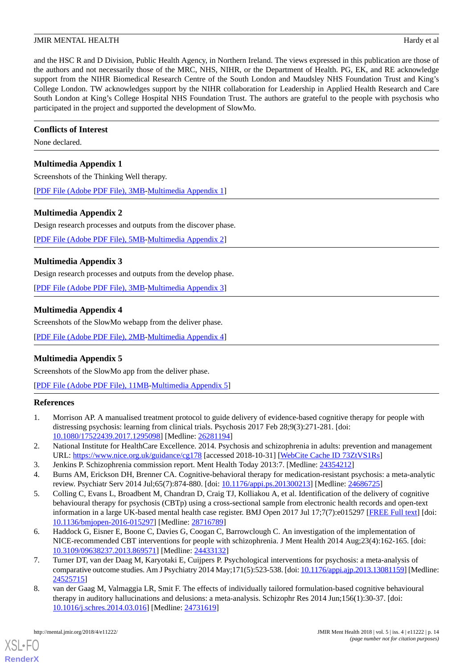and the HSC R and D Division, Public Health Agency, in Northern Ireland. The views expressed in this publication are those of the authors and not necessarily those of the MRC, NHS, NIHR, or the Department of Health. PG, EK, and RE acknowledge support from the NIHR Biomedical Research Centre of the South London and Maudsley NHS Foundation Trust and King's College London. TW acknowledges support by the NIHR collaboration for Leadership in Applied Health Research and Care South London at King's College Hospital NHS Foundation Trust. The authors are grateful to the people with psychosis who participated in the project and supported the development of SlowMo.

## **Conflicts of Interest**

<span id="page-13-6"></span>None declared.

## **Multimedia Appendix 1**

Screenshots of the Thinking Well therapy.

<span id="page-13-7"></span>[[PDF File \(Adobe PDF File\), 3MB](https://jmir.org/api/download?alt_name=mental_v5i4e11222_app1.pdf&filename=a4f6519917137c75a5e618b8cdc84627.pdf)-[Multimedia Appendix 1\]](https://jmir.org/api/download?alt_name=mental_v5i4e11222_app1.pdf&filename=a4f6519917137c75a5e618b8cdc84627.pdf)

## **Multimedia Appendix 2**

Design research processes and outputs from the discover phase.

<span id="page-13-8"></span>[[PDF File \(Adobe PDF File\), 5MB](https://jmir.org/api/download?alt_name=mental_v5i4e11222_app2.pdf&filename=598824bec56a6e50f3319acf28bad108.pdf)-[Multimedia Appendix 2\]](https://jmir.org/api/download?alt_name=mental_v5i4e11222_app2.pdf&filename=598824bec56a6e50f3319acf28bad108.pdf)

## **Multimedia Appendix 3**

<span id="page-13-9"></span>Design research processes and outputs from the develop phase.

[[PDF File \(Adobe PDF File\), 3MB](https://jmir.org/api/download?alt_name=mental_v5i4e11222_app3.pdf&filename=e9ab603caef04fa3c1e7f2c95a7f5d49.pdf)-[Multimedia Appendix 3\]](https://jmir.org/api/download?alt_name=mental_v5i4e11222_app3.pdf&filename=e9ab603caef04fa3c1e7f2c95a7f5d49.pdf)

## **Multimedia Appendix 4**

<span id="page-13-10"></span>Screenshots of the SlowMo webapp from the deliver phase.

[[PDF File \(Adobe PDF File\), 2MB](https://jmir.org/api/download?alt_name=mental_v5i4e11222_app4.pdf&filename=260254e1649b39132179209a8e8035f3.pdf)-[Multimedia Appendix 4\]](https://jmir.org/api/download?alt_name=mental_v5i4e11222_app4.pdf&filename=260254e1649b39132179209a8e8035f3.pdf)

## **Multimedia Appendix 5**

<span id="page-13-0"></span>Screenshots of the SlowMo app from the deliver phase.

[[PDF File \(Adobe PDF File\), 11MB-Multimedia Appendix 5\]](https://jmir.org/api/download?alt_name=mental_v5i4e11222_app5.pdf&filename=bff208c3284ffa44048c1fc76fcdae7a.pdf)

#### <span id="page-13-1"></span>**References**

- <span id="page-13-3"></span><span id="page-13-2"></span>1. Morrison AP. A manualised treatment protocol to guide delivery of evidence-based cognitive therapy for people with distressing psychosis: learning from clinical trials. Psychosis 2017 Feb 28;9(3):271-281. [doi: [10.1080/17522439.2017.1295098\]](http://dx.doi.org/10.1080/17522439.2017.1295098) [Medline: [26281194\]](http://www.ncbi.nlm.nih.gov/entrez/query.fcgi?cmd=Retrieve&db=PubMed&list_uids=26281194&dopt=Abstract)
- <span id="page-13-5"></span>2. National Institute for HealthCare Excellence. 2014. Psychosis and schizophrenia in adults: prevention and management URL: <https://www.nice.org.uk/guidance/cg178> [accessed 2018-10-31] [\[WebCite Cache ID 73ZtVS1Rs](http://www.webcitation.org/

                                            73ZtVS1Rs)]
- 3. Jenkins P. Schizophrenia commission report. Ment Health Today 2013:7. [Medline: [24354212\]](http://www.ncbi.nlm.nih.gov/entrez/query.fcgi?cmd=Retrieve&db=PubMed&list_uids=24354212&dopt=Abstract)
- 4. Burns AM, Erickson DH, Brenner CA. Cognitive-behavioral therapy for medication-resistant psychosis: a meta-analytic review. Psychiatr Serv 2014 Jul;65(7):874-880. [doi: [10.1176/appi.ps.201300213\]](http://dx.doi.org/10.1176/appi.ps.201300213) [Medline: [24686725](http://www.ncbi.nlm.nih.gov/entrez/query.fcgi?cmd=Retrieve&db=PubMed&list_uids=24686725&dopt=Abstract)]
- 5. Colling C, Evans L, Broadbent M, Chandran D, Craig TJ, Kolliakou A, et al. Identification of the delivery of cognitive behavioural therapy for psychosis (CBTp) using a cross-sectional sample from electronic health records and open-text information in a large UK-based mental health case register. BMJ Open 2017 Jul 17;7(7):e015297 [[FREE Full text](http://bmjopen.bmj.com/cgi/pmidlookup?view=long&pmid=28716789)] [doi: [10.1136/bmjopen-2016-015297\]](http://dx.doi.org/10.1136/bmjopen-2016-015297) [Medline: [28716789](http://www.ncbi.nlm.nih.gov/entrez/query.fcgi?cmd=Retrieve&db=PubMed&list_uids=28716789&dopt=Abstract)]
- <span id="page-13-4"></span>6. Haddock G, Eisner E, Boone C, Davies G, Coogan C, Barrowclough C. An investigation of the implementation of NICE-recommended CBT interventions for people with schizophrenia. J Ment Health 2014 Aug;23(4):162-165. [doi: [10.3109/09638237.2013.869571\]](http://dx.doi.org/10.3109/09638237.2013.869571) [Medline: [24433132\]](http://www.ncbi.nlm.nih.gov/entrez/query.fcgi?cmd=Retrieve&db=PubMed&list_uids=24433132&dopt=Abstract)
- 7. Turner DT, van der Daag M, Karyotaki E, Cuijpers P. Psychological interventions for psychosis: a meta-analysis of comparative outcome studies. Am J Psychiatry 2014 May;171(5):523-538. [doi: [10.1176/appi.ajp.2013.13081159\]](http://dx.doi.org/10.1176/appi.ajp.2013.13081159) [Medline: [24525715](http://www.ncbi.nlm.nih.gov/entrez/query.fcgi?cmd=Retrieve&db=PubMed&list_uids=24525715&dopt=Abstract)]
- 8. van der Gaag M, Valmaggia LR, Smit F. The effects of individually tailored formulation-based cognitive behavioural therapy in auditory hallucinations and delusions: a meta-analysis. Schizophr Res 2014 Jun;156(1):30-37. [doi: [10.1016/j.schres.2014.03.016\]](http://dx.doi.org/10.1016/j.schres.2014.03.016) [Medline: [24731619](http://www.ncbi.nlm.nih.gov/entrez/query.fcgi?cmd=Retrieve&db=PubMed&list_uids=24731619&dopt=Abstract)]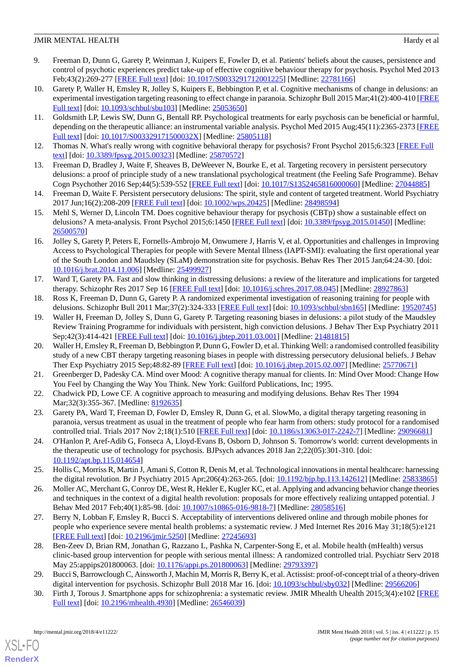- <span id="page-14-0"></span>9. Freeman D, Dunn G, Garety P, Weinman J, Kuipers E, Fowler D, et al. Patients' beliefs about the causes, persistence and control of psychotic experiences predict take-up of effective cognitive behaviour therapy for psychosis. Psychol Med 2013 Feb;43(2):269-277 [[FREE Full text](http://journals.cambridge.org/abstract_S0033291712001225)] [doi: [10.1017/S0033291712001225](http://dx.doi.org/10.1017/S0033291712001225)] [Medline: [22781166](http://www.ncbi.nlm.nih.gov/entrez/query.fcgi?cmd=Retrieve&db=PubMed&list_uids=22781166&dopt=Abstract)]
- <span id="page-14-7"></span>10. Garety P, Waller H, Emsley R, Jolley S, Kuipers E, Bebbington P, et al. Cognitive mechanisms of change in delusions: an experimental investigation targeting reasoning to effect change in paranoia. Schizophr Bull 2015 Mar;41(2):400-410 [\[FREE](http://europepmc.org/abstract/MED/25053650) [Full text\]](http://europepmc.org/abstract/MED/25053650) [doi: [10.1093/schbul/sbu103\]](http://dx.doi.org/10.1093/schbul/sbu103) [Medline: [25053650\]](http://www.ncbi.nlm.nih.gov/entrez/query.fcgi?cmd=Retrieve&db=PubMed&list_uids=25053650&dopt=Abstract)
- <span id="page-14-1"></span>11. Goldsmith LP, Lewis SW, Dunn G, Bentall RP. Psychological treatments for early psychosis can be beneficial or harmful, depending on the therapeutic alliance: an instrumental variable analysis. Psychol Med 2015 Aug;45(11):2365-2373 [\[FREE](http://europepmc.org/abstract/MED/25805118) [Full text\]](http://europepmc.org/abstract/MED/25805118) [doi: [10.1017/S003329171500032X](http://dx.doi.org/10.1017/S003329171500032X)] [Medline: [25805118](http://www.ncbi.nlm.nih.gov/entrez/query.fcgi?cmd=Retrieve&db=PubMed&list_uids=25805118&dopt=Abstract)]
- <span id="page-14-3"></span><span id="page-14-2"></span>12. Thomas N. What's really wrong with cognitive behavioral therapy for psychosis? Front Psychol 2015;6:323 [[FREE Full](https://dx.doi.org/10.3389/fpsyg.2015.00323) [text](https://dx.doi.org/10.3389/fpsyg.2015.00323)] [doi: [10.3389/fpsyg.2015.00323](http://dx.doi.org/10.3389/fpsyg.2015.00323)] [Medline: [25870572\]](http://www.ncbi.nlm.nih.gov/entrez/query.fcgi?cmd=Retrieve&db=PubMed&list_uids=25870572&dopt=Abstract)
- 13. Freeman D, Bradley J, Waite F, Sheaves B, DeWeever N, Bourke E, et al. Targeting recovery in persistent persecutory delusions: a proof of principle study of a new translational psychological treatment (the Feeling Safe Programme). Behav Cogn Psychother 2016 Sep;44(5):539-552 [[FREE Full text\]](https://www.cambridge.org/core/product/identifier/S1352465816000060/type/journal_article) [doi: [10.1017/S1352465816000060\]](http://dx.doi.org/10.1017/S1352465816000060) [Medline: [27044885\]](http://www.ncbi.nlm.nih.gov/entrez/query.fcgi?cmd=Retrieve&db=PubMed&list_uids=27044885&dopt=Abstract)
- <span id="page-14-4"></span>14. Freeman D, Waite F. Persistent persecutory delusions: The spirit, style and content of targeted treatment. World Psychiatry 2017 Jun;16(2):208-209 [\[FREE Full text\]](https://doi.org/10.1002/wps.20425) [doi: [10.1002/wps.20425\]](http://dx.doi.org/10.1002/wps.20425) [Medline: [28498594\]](http://www.ncbi.nlm.nih.gov/entrez/query.fcgi?cmd=Retrieve&db=PubMed&list_uids=28498594&dopt=Abstract)
- <span id="page-14-5"></span>15. Mehl S, Werner D, Lincoln TM. Does cognitive behaviour therapy for psychosis (CBTp) show a sustainable effect on delusions? A meta-analysis. Front Psychol 2015;6:1450 [[FREE Full text](https://dx.doi.org/10.3389/fpsyg.2015.01450)] [doi: [10.3389/fpsyg.2015.01450\]](http://dx.doi.org/10.3389/fpsyg.2015.01450) [Medline: [26500570](http://www.ncbi.nlm.nih.gov/entrez/query.fcgi?cmd=Retrieve&db=PubMed&list_uids=26500570&dopt=Abstract)]
- <span id="page-14-6"></span>16. Jolley S, Garety P, Peters E, Fornells-Ambrojo M, Onwumere J, Harris V, et al. Opportunities and challenges in Improving Access to Psychological Therapies for people with Severe Mental Illness (IAPT-SMI): evaluating the first operational year of the South London and Maudsley (SLaM) demonstration site for psychosis. Behav Res Ther 2015 Jan;64:24-30. [doi: [10.1016/j.brat.2014.11.006](http://dx.doi.org/10.1016/j.brat.2014.11.006)] [Medline: [25499927\]](http://www.ncbi.nlm.nih.gov/entrez/query.fcgi?cmd=Retrieve&db=PubMed&list_uids=25499927&dopt=Abstract)
- <span id="page-14-8"></span>17. Ward T, Garety PA. Fast and slow thinking in distressing delusions: a review of the literature and implications for targeted therapy. Schizophr Res 2017 Sep 16 [\[FREE Full text\]](https://linkinghub.elsevier.com/retrieve/pii/S0920-9964(17)30521-2) [doi: [10.1016/j.schres.2017.08.045\]](http://dx.doi.org/10.1016/j.schres.2017.08.045) [Medline: [28927863\]](http://www.ncbi.nlm.nih.gov/entrez/query.fcgi?cmd=Retrieve&db=PubMed&list_uids=28927863&dopt=Abstract)
- 18. Ross K, Freeman D, Dunn G, Garety P. A randomized experimental investigation of reasoning training for people with delusions. Schizophr Bull 2011 Mar;37(2):324-333 [[FREE Full text](http://europepmc.org/abstract/MED/19520745)] [doi: [10.1093/schbul/sbn165](http://dx.doi.org/10.1093/schbul/sbn165)] [Medline: [19520745\]](http://www.ncbi.nlm.nih.gov/entrez/query.fcgi?cmd=Retrieve&db=PubMed&list_uids=19520745&dopt=Abstract)
- <span id="page-14-9"></span>19. Waller H, Freeman D, Jolley S, Dunn G, Garety P. Targeting reasoning biases in delusions: a pilot study of the Maudsley Review Training Programme for individuals with persistent, high conviction delusions. J Behav Ther Exp Psychiatry 2011 Sep;42(3):414-421 [[FREE Full text](https://linkinghub.elsevier.com/retrieve/pii/S0005-7916(11)00037-1)] [doi: [10.1016/j.jbtep.2011.03.001\]](http://dx.doi.org/10.1016/j.jbtep.2011.03.001) [Medline: [21481815](http://www.ncbi.nlm.nih.gov/entrez/query.fcgi?cmd=Retrieve&db=PubMed&list_uids=21481815&dopt=Abstract)]
- <span id="page-14-11"></span><span id="page-14-10"></span>20. Waller H, Emsley R, Freeman D, Bebbington P, Dunn G, Fowler D, et al. Thinking Well: a randomised controlled feasibility study of a new CBT therapy targeting reasoning biases in people with distressing persecutory delusional beliefs. J Behav Ther Exp Psychiatry 2015 Sep;48:82-89 [\[FREE Full text\]](https://linkinghub.elsevier.com/retrieve/pii/S0005-7916(15)00025-7) [doi: [10.1016/j.jbtep.2015.02.007](http://dx.doi.org/10.1016/j.jbtep.2015.02.007)] [Medline: [25770671\]](http://www.ncbi.nlm.nih.gov/entrez/query.fcgi?cmd=Retrieve&db=PubMed&list_uids=25770671&dopt=Abstract)
- <span id="page-14-12"></span>21. Greenberger D, Padesky CA. Mind over Mood: A cognitive therapy manual for clients. In: Mind Over Mood: Change How You Feel by Changing the Way You Think. New York: Guilford Publications, Inc; 1995.
- <span id="page-14-13"></span>22. Chadwick PD, Lowe CF. A cognitive approach to measuring and modifying delusions. Behav Res Ther 1994 Mar; 32(3): 355-367. [Medline: [8192635\]](http://www.ncbi.nlm.nih.gov/entrez/query.fcgi?cmd=Retrieve&db=PubMed&list_uids=8192635&dopt=Abstract)
- 23. Garety PA, Ward T, Freeman D, Fowler D, Emsley R, Dunn G, et al. SlowMo, a digital therapy targeting reasoning in paranoia, versus treatment as usual in the treatment of people who fear harm from others: study protocol for a randomised controlled trial. Trials 2017 Nov 2;18(1):510 [\[FREE Full text\]](https://trialsjournal.biomedcentral.com/articles/10.1186/s13063-017-2242-7) [doi: [10.1186/s13063-017-2242-7](http://dx.doi.org/10.1186/s13063-017-2242-7)] [Medline: [29096681\]](http://www.ncbi.nlm.nih.gov/entrez/query.fcgi?cmd=Retrieve&db=PubMed&list_uids=29096681&dopt=Abstract)
- <span id="page-14-14"></span>24. O'Hanlon P, Aref-Adib G, Fonseca A, Lloyd-Evans B, Osborn D, Johnson S. Tomorrow's world: current developments in the therapeutic use of technology for psychosis. BJPsych advances 2018 Jan 2;22(05):301-310. [doi: [10.1192/apt.bp.115.014654](http://dx.doi.org/10.1192/apt.bp.115.014654)]
- <span id="page-14-15"></span>25. Hollis C, Morriss R, Martin J, Amani S, Cotton R, Denis M, et al. Technological innovations in mental healthcare: harnessing the digital revolution. Br J Psychiatry 2015 Apr;206(4):263-265. [doi: [10.1192/bjp.bp.113.142612](http://dx.doi.org/10.1192/bjp.bp.113.142612)] [Medline: [25833865\]](http://www.ncbi.nlm.nih.gov/entrez/query.fcgi?cmd=Retrieve&db=PubMed&list_uids=25833865&dopt=Abstract)
- 26. Moller AC, Merchant G, Conroy DE, West R, Hekler E, Kugler KC, et al. Applying and advancing behavior change theories and techniques in the context of a digital health revolution: proposals for more effectively realizing untapped potential. J Behav Med 2017 Feb;40(1):85-98. [doi: [10.1007/s10865-016-9818-7\]](http://dx.doi.org/10.1007/s10865-016-9818-7) [Medline: [28058516\]](http://www.ncbi.nlm.nih.gov/entrez/query.fcgi?cmd=Retrieve&db=PubMed&list_uids=28058516&dopt=Abstract)
- 27. Berry N, Lobban F, Emsley R, Bucci S. Acceptability of interventions delivered online and through mobile phones for people who experience severe mental health problems: a systematic review. J Med Internet Res 2016 May 31;18(5):e121 [[FREE Full text](http://www.jmir.org/2016/5/e121/)] [doi: [10.2196/jmir.5250](http://dx.doi.org/10.2196/jmir.5250)] [Medline: [27245693](http://www.ncbi.nlm.nih.gov/entrez/query.fcgi?cmd=Retrieve&db=PubMed&list_uids=27245693&dopt=Abstract)]
- 28. Ben-Zeev D, Brian RM, Jonathan G, Razzano L, Pashka N, Carpenter-Song E, et al. Mobile health (mHealth) versus clinic-based group intervention for people with serious mental illness: A randomized controlled trial. Psychiatr Serv 2018 May 25:appips201800063. [doi: [10.1176/appi.ps.201800063](http://dx.doi.org/10.1176/appi.ps.201800063)] [Medline: [29793397\]](http://www.ncbi.nlm.nih.gov/entrez/query.fcgi?cmd=Retrieve&db=PubMed&list_uids=29793397&dopt=Abstract)
- 29. Bucci S, Barrowclough C, Ainsworth J, Machin M, Morris R, Berry K, et al. Actissist: proof-of-concept trial of a theory-driven digital intervention for psychosis. Schizophr Bull 2018 Mar 16. [doi:  $10.1093$ /schbul/sby032] [Medline: [29566206\]](http://www.ncbi.nlm.nih.gov/entrez/query.fcgi?cmd=Retrieve&db=PubMed&list_uids=29566206&dopt=Abstract)
- 30. Firth J, Torous J. Smartphone apps for schizophrenia: a systematic review. JMIR Mhealth Uhealth 2015;3(4):e102 [\[FREE](http://mhealth.jmir.org/2015/4/e102/) [Full text\]](http://mhealth.jmir.org/2015/4/e102/) [doi: [10.2196/mhealth.4930](http://dx.doi.org/10.2196/mhealth.4930)] [Medline: [26546039\]](http://www.ncbi.nlm.nih.gov/entrez/query.fcgi?cmd=Retrieve&db=PubMed&list_uids=26546039&dopt=Abstract)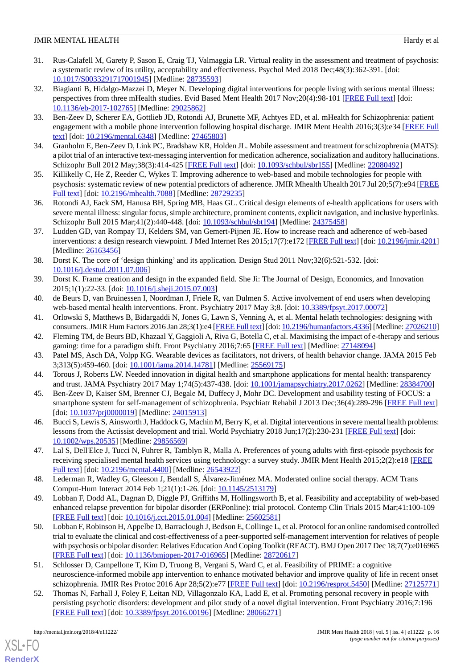- <span id="page-15-0"></span>31. Rus-Calafell M, Garety P, Sason E, Craig TJ, Valmaggia LR. Virtual reality in the assessment and treatment of psychosis: a systematic review of its utility, acceptability and effectiveness. Psychol Med 2018 Dec;48(3):362-391. [doi: [10.1017/S0033291717001945](http://dx.doi.org/10.1017/S0033291717001945)] [Medline: [28735593](http://www.ncbi.nlm.nih.gov/entrez/query.fcgi?cmd=Retrieve&db=PubMed&list_uids=28735593&dopt=Abstract)]
- <span id="page-15-1"></span>32. Biagianti B, Hidalgo-Mazzei D, Meyer N. Developing digital interventions for people living with serious mental illness: perspectives from three mHealth studies. Evid Based Ment Health 2017 Nov;20(4):98-101 [\[FREE Full text\]](http://europepmc.org/abstract/MED/29025862) [doi: [10.1136/eb-2017-102765\]](http://dx.doi.org/10.1136/eb-2017-102765) [Medline: [29025862\]](http://www.ncbi.nlm.nih.gov/entrez/query.fcgi?cmd=Retrieve&db=PubMed&list_uids=29025862&dopt=Abstract)
- 33. Ben-Zeev D, Scherer EA, Gottlieb JD, Rotondi AJ, Brunette MF, Achtyes ED, et al. mHealth for Schizophrenia: patient engagement with a mobile phone intervention following hospital discharge. JMIR Ment Health 2016;3(3):e34 [[FREE Full](http://mental.jmir.org/2016/3/e34/) [text](http://mental.jmir.org/2016/3/e34/)] [doi: [10.2196/mental.6348\]](http://dx.doi.org/10.2196/mental.6348) [Medline: [27465803](http://www.ncbi.nlm.nih.gov/entrez/query.fcgi?cmd=Retrieve&db=PubMed&list_uids=27465803&dopt=Abstract)]
- 34. Granholm E, Ben-Zeev D, Link PC, Bradshaw KR, Holden JL. Mobile assessment and treatment for schizophrenia (MATS): a pilot trial of an interactive text-messaging intervention for medication adherence, socialization and auditory hallucinations. Schizophr Bull 2012 May;38(3):414-425 [\[FREE Full text\]](http://schizophreniabulletin.oxfordjournals.org/cgi/pmidlookup?view=long&pmid=22080492) [doi: [10.1093/schbul/sbr155](http://dx.doi.org/10.1093/schbul/sbr155)] [Medline: [22080492](http://www.ncbi.nlm.nih.gov/entrez/query.fcgi?cmd=Retrieve&db=PubMed&list_uids=22080492&dopt=Abstract)]
- <span id="page-15-2"></span>35. Killikelly C, He Z, Reeder C, Wykes T. Improving adherence to web-based and mobile technologies for people with psychosis: systematic review of new potential predictors of adherence. JMIR Mhealth Uhealth 2017 Jul 20;5(7):e94 [\[FREE](http://mhealth.jmir.org/2017/7/e94/) [Full text\]](http://mhealth.jmir.org/2017/7/e94/) [doi: [10.2196/mhealth.7088](http://dx.doi.org/10.2196/mhealth.7088)] [Medline: [28729235\]](http://www.ncbi.nlm.nih.gov/entrez/query.fcgi?cmd=Retrieve&db=PubMed&list_uids=28729235&dopt=Abstract)
- <span id="page-15-3"></span>36. Rotondi AJ, Eack SM, Hanusa BH, Spring MB, Haas GL. Critical design elements of e-health applications for users with severe mental illness: singular focus, simple architecture, prominent contents, explicit navigation, and inclusive hyperlinks. Schizophr Bull 2015 Mar;41(2):440-448. [doi: [10.1093/schbul/sbt194](http://dx.doi.org/10.1093/schbul/sbt194)] [Medline: [24375458\]](http://www.ncbi.nlm.nih.gov/entrez/query.fcgi?cmd=Retrieve&db=PubMed&list_uids=24375458&dopt=Abstract)
- <span id="page-15-4"></span>37. Ludden GD, van Rompay TJ, Kelders SM, van Gemert-Pijnen JE. How to increase reach and adherence of web-based interventions: a design research viewpoint. J Med Internet Res 2015;17(7):e172 [[FREE Full text\]](http://www.jmir.org/2015/7/e172/) [doi: [10.2196/jmir.4201](http://dx.doi.org/10.2196/jmir.4201)] [Medline: [26163456](http://www.ncbi.nlm.nih.gov/entrez/query.fcgi?cmd=Retrieve&db=PubMed&list_uids=26163456&dopt=Abstract)]
- <span id="page-15-5"></span>38. Dorst K. The core of 'design thinking' and its application. Design Stud 2011 Nov;32(6):521-532. [doi: [10.1016/j.destud.2011.07.006\]](http://dx.doi.org/10.1016/j.destud.2011.07.006)
- <span id="page-15-6"></span>39. Dorst K. Frame creation and design in the expanded field. She Ji: The Journal of Design, Economics, and Innovation 2015;1(1):22-33. [doi: [10.1016/j.sheji.2015.07.003](http://dx.doi.org/10.1016/j.sheji.2015.07.003)]
- <span id="page-15-7"></span>40. de Beurs D, van Bruinessen I, Noordman J, Friele R, van Dulmen S. Active involvement of end users when developing web-based mental health interventions. Front. Psychiatry 2017 May 3;8. [doi: [10.3389/fpsyt.2017.00072\]](http://dx.doi.org/10.3389/fpsyt.2017.00072)
- 41. Orlowski S, Matthews B, Bidargaddi N, Jones G, Lawn S, Venning A, et al. Mental helath technologies: designing with consumers. JMIR Hum Factors 2016 Jan 28;3(1):e4 [\[FREE Full text\]](http://humanfactors.jmir.org/2016/1/e4/) [doi: [10.2196/humanfactors.4336\]](http://dx.doi.org/10.2196/humanfactors.4336) [Medline: [27026210\]](http://www.ncbi.nlm.nih.gov/entrez/query.fcgi?cmd=Retrieve&db=PubMed&list_uids=27026210&dopt=Abstract)
- <span id="page-15-8"></span>42. Fleming TM, de Beurs BD, Khazaal Y, Gaggioli A, Riva G, Botella C, et al. Maximising the impact of e-therapy and serious gaming: time for a paradigm shift. Front Psychiatry 2016;7:65 [[FREE Full text\]](http://europepmc.org/abstract/MED/27148094) [Medline: [27148094\]](http://www.ncbi.nlm.nih.gov/entrez/query.fcgi?cmd=Retrieve&db=PubMed&list_uids=27148094&dopt=Abstract)
- <span id="page-15-9"></span>43. Patel MS, Asch DA, Volpp KG. Wearable devices as facilitators, not drivers, of health behavior change. JAMA 2015 Feb 3;313(5):459-460. [doi: [10.1001/jama.2014.14781](http://dx.doi.org/10.1001/jama.2014.14781)] [Medline: [25569175\]](http://www.ncbi.nlm.nih.gov/entrez/query.fcgi?cmd=Retrieve&db=PubMed&list_uids=25569175&dopt=Abstract)
- 44. Torous J, Roberts LW. Needed innovation in digital health and smartphone applications for mental health: transparency and trust. JAMA Psychiatry 2017 May 1;74(5):437-438. [doi: [10.1001/jamapsychiatry.2017.0262](http://dx.doi.org/10.1001/jamapsychiatry.2017.0262)] [Medline: [28384700\]](http://www.ncbi.nlm.nih.gov/entrez/query.fcgi?cmd=Retrieve&db=PubMed&list_uids=28384700&dopt=Abstract)
- 45. Ben-Zeev D, Kaiser SM, Brenner CJ, Begale M, Duffecy J, Mohr DC. Development and usability testing of FOCUS: a smartphone system for self-management of schizophrenia. Psychiatr Rehabil J 2013 Dec;36(4):289-296 [[FREE Full text\]](http://europepmc.org/abstract/MED/24015913) [doi: [10.1037/prj0000019](http://dx.doi.org/10.1037/prj0000019)] [Medline: [24015913](http://www.ncbi.nlm.nih.gov/entrez/query.fcgi?cmd=Retrieve&db=PubMed&list_uids=24015913&dopt=Abstract)]
- 46. Bucci S, Lewis S, Ainsworth J, Haddock G, Machin M, Berry K, et al. Digital interventions in severe mental health problems: lessons from the Actissist development and trial. World Psychiatry 2018 Jun;17(2):230-231 [\[FREE Full text](https://doi.org/10.1002/wps.20535)] [doi: [10.1002/wps.20535](http://dx.doi.org/10.1002/wps.20535)] [Medline: [29856569](http://www.ncbi.nlm.nih.gov/entrez/query.fcgi?cmd=Retrieve&db=PubMed&list_uids=29856569&dopt=Abstract)]
- <span id="page-15-10"></span>47. Lal S, Dell'Elce J, Tucci N, Fuhrer R, Tamblyn R, Malla A. Preferences of young adults with first-episode psychosis for receiving specialised mental health services using technology: a survey study. JMIR Ment Health 2015;2(2):e18 [[FREE](http://mental.jmir.org/2015/2/e18/) [Full text\]](http://mental.jmir.org/2015/2/e18/) [doi: [10.2196/mental.4400](http://dx.doi.org/10.2196/mental.4400)] [Medline: [26543922\]](http://www.ncbi.nlm.nih.gov/entrez/query.fcgi?cmd=Retrieve&db=PubMed&list_uids=26543922&dopt=Abstract)
- 48. Lederman R, Wadley G, Gleeson J, Bendall S, Álvarez-Jiménez MA. Moderated online social therapy. ACM Trans Comput-Hum Interact 2014 Feb 1;21(1):1-26. [doi: [10.1145/2513179\]](http://dx.doi.org/10.1145/2513179)
- 49. Lobban F, Dodd AL, Dagnan D, Diggle PJ, Griffiths M, Hollingsworth B, et al. Feasibility and acceptability of web-based enhanced relapse prevention for bipolar disorder (ERPonline): trial protocol. Contemp Clin Trials 2015 Mar;41:100-109 [[FREE Full text](http://linkinghub.elsevier.com/retrieve/pii/S1551-7144(15)00005-1)] [doi: [10.1016/j.cct.2015.01.004](http://dx.doi.org/10.1016/j.cct.2015.01.004)] [Medline: [25602581\]](http://www.ncbi.nlm.nih.gov/entrez/query.fcgi?cmd=Retrieve&db=PubMed&list_uids=25602581&dopt=Abstract)
- 50. Lobban F, Robinson H, Appelbe D, Barraclough J, Bedson E, Collinge L, et al. Protocol for an online randomised controlled trial to evaluate the clinical and cost-effectiveness of a peer-supported self-management intervention for relatives of people with psychosis or bipolar disorder: Relatives Education And Coping Toolkit (REACT). BMJ Open 2017 Dec 18;7(7):e016965 [[FREE Full text](http://bmjopen.bmj.com/cgi/pmidlookup?view=long&pmid=28720617)] [doi: [10.1136/bmjopen-2017-016965](http://dx.doi.org/10.1136/bmjopen-2017-016965)] [Medline: [28720617](http://www.ncbi.nlm.nih.gov/entrez/query.fcgi?cmd=Retrieve&db=PubMed&list_uids=28720617&dopt=Abstract)]
- 51. Schlosser D, Campellone T, Kim D, Truong B, Vergani S, Ward C, et al. Feasibility of PRIME: a cognitive neuroscience-informed mobile app intervention to enhance motivated behavior and improve quality of life in recent onset schizophrenia. JMIR Res Protoc 2016 Apr 28;5(2):e77 [[FREE Full text\]](http://www.researchprotocols.org/2016/2/e77/) [doi: [10.2196/resprot.5450](http://dx.doi.org/10.2196/resprot.5450)] [Medline: [27125771](http://www.ncbi.nlm.nih.gov/entrez/query.fcgi?cmd=Retrieve&db=PubMed&list_uids=27125771&dopt=Abstract)]
- 52. Thomas N, Farhall J, Foley F, Leitan ND, Villagonzalo KA, Ladd E, et al. Promoting personal recovery in people with persisting psychotic disorders: development and pilot study of a novel digital intervention. Front Psychiatry 2016;7:196 [[FREE Full text](https://dx.doi.org/10.3389/fpsyt.2016.00196)] [doi: [10.3389/fpsyt.2016.00196\]](http://dx.doi.org/10.3389/fpsyt.2016.00196) [Medline: [28066271](http://www.ncbi.nlm.nih.gov/entrez/query.fcgi?cmd=Retrieve&db=PubMed&list_uids=28066271&dopt=Abstract)]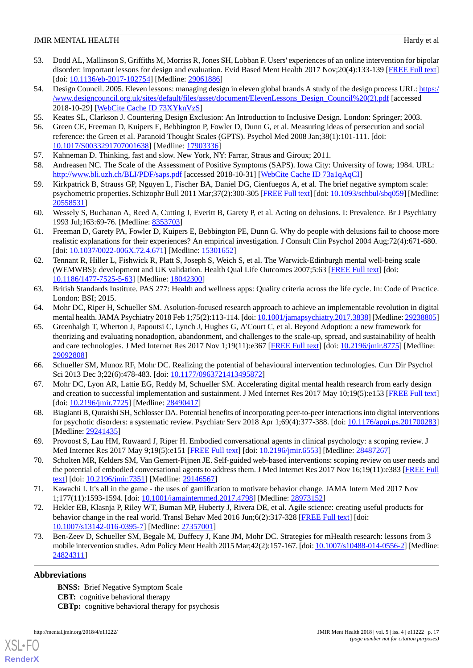- <span id="page-16-0"></span>53. Dodd AL, Mallinson S, Griffiths M, Morriss R, Jones SH, Lobban F. Users' experiences of an online intervention for bipolar disorder: important lessons for design and evaluation. Evid Based Ment Health 2017 Nov;20(4):133-139 [\[FREE Full text](http://europepmc.org/abstract/MED/29061886)] [doi: [10.1136/eb-2017-102754](http://dx.doi.org/10.1136/eb-2017-102754)] [Medline: [29061886](http://www.ncbi.nlm.nih.gov/entrez/query.fcgi?cmd=Retrieve&db=PubMed&list_uids=29061886&dopt=Abstract)]
- <span id="page-16-1"></span>54. Design Council. 2005. Eleven lessons: managing design in eleven global brands A study of the design process URL: [https:/](https://www.designcouncil.org.uk/sites/default/files/asset/document/ElevenLessons_Design_Council%20(2).pdf) [/www.designcouncil.org.uk/sites/default/files/asset/document/ElevenLessons\\_Design\\_Council%20\(2\).pdf](https://www.designcouncil.org.uk/sites/default/files/asset/document/ElevenLessons_Design_Council%20(2).pdf) [accessed 2018-10-29] [\[WebCite Cache ID 73XYknVzS\]](http://www.webcitation.org/

                                            73XYknVzS)
- <span id="page-16-3"></span><span id="page-16-2"></span>55. Keates SL, Clarkson J. Countering Design Exclusion: An Introduction to Inclusive Design. London: Springer; 2003.
- <span id="page-16-4"></span>56. Green CE, Freeman D, Kuipers E, Bebbington P, Fowler D, Dunn G, et al. Measuring ideas of persecution and social reference: the Green et al. Paranoid Thought Scales (GPTS). Psychol Med 2008 Jan;38(1):101-111. [doi: [10.1017/S0033291707001638](http://dx.doi.org/10.1017/S0033291707001638)] [Medline: [17903336](http://www.ncbi.nlm.nih.gov/entrez/query.fcgi?cmd=Retrieve&db=PubMed&list_uids=17903336&dopt=Abstract)]
- <span id="page-16-5"></span>57. Kahneman D. Thinking, fast and slow. New York, NY: Farrar, Straus and Giroux; 2011.
- <span id="page-16-6"></span>58. Andreasen NC. The Scale of the Assessment of Positive Symptoms (SAPS). Iowa City: University of Iowa; 1984. URL: <http://www.bli.uzh.ch/BLI/PDF/saps.pdf> [accessed 2018-10-31] [\[WebCite Cache ID 73a1qAqCI\]](http://www.webcitation.org/

                                            73a1qAqCI)
- <span id="page-16-7"></span>59. Kirkpatrick B, Strauss GP, Nguyen L, Fischer BA, Daniel DG, Cienfuegos A, et al. The brief negative symptom scale: psychometric properties. Schizophr Bull 2011 Mar;37(2):300-305 [\[FREE Full text](http://europepmc.org/abstract/MED/20558531)] [doi: [10.1093/schbul/sbq059](http://dx.doi.org/10.1093/schbul/sbq059)] [Medline: [20558531](http://www.ncbi.nlm.nih.gov/entrez/query.fcgi?cmd=Retrieve&db=PubMed&list_uids=20558531&dopt=Abstract)]
- <span id="page-16-8"></span>60. Wessely S, Buchanan A, Reed A, Cutting J, Everitt B, Garety P, et al. Acting on delusions. I: Prevalence. Br J Psychiatry 1993 Jul;163:69-76. [Medline: [8353703](http://www.ncbi.nlm.nih.gov/entrez/query.fcgi?cmd=Retrieve&db=PubMed&list_uids=8353703&dopt=Abstract)]
- <span id="page-16-9"></span>61. Freeman D, Garety PA, Fowler D, Kuipers E, Bebbington PE, Dunn G. Why do people with delusions fail to choose more realistic explanations for their experiences? An empirical investigation. J Consult Clin Psychol 2004 Aug;72(4):671-680. [doi: [10.1037/0022-006X.72.4.671](http://dx.doi.org/10.1037/0022-006X.72.4.671)] [Medline: [15301652](http://www.ncbi.nlm.nih.gov/entrez/query.fcgi?cmd=Retrieve&db=PubMed&list_uids=15301652&dopt=Abstract)]
- <span id="page-16-10"></span>62. Tennant R, Hiller L, Fishwick R, Platt S, Joseph S, Weich S, et al. The Warwick-Edinburgh mental well-being scale (WEMWBS): development and UK validation. Health Qual Life Outcomes 2007;5:63 [[FREE Full text](http://www.hqlo.com/content/5//63)] [doi: [10.1186/1477-7525-5-63\]](http://dx.doi.org/10.1186/1477-7525-5-63) [Medline: [18042300\]](http://www.ncbi.nlm.nih.gov/entrez/query.fcgi?cmd=Retrieve&db=PubMed&list_uids=18042300&dopt=Abstract)
- <span id="page-16-12"></span><span id="page-16-11"></span>63. British Standards Institute. PAS 277: Health and wellness apps: Quality criteria across the life cycle. In: Code of Practice. London: BSI; 2015.
- 64. Mohr DC, Riper H, Schueller SM. Asolution-focused research approach to achieve an implementable revolution in digital mental health. JAMA Psychiatry 2018 Feb 1;75(2):113-114. [doi: [10.1001/jamapsychiatry.2017.3838\]](http://dx.doi.org/10.1001/jamapsychiatry.2017.3838) [Medline: [29238805\]](http://www.ncbi.nlm.nih.gov/entrez/query.fcgi?cmd=Retrieve&db=PubMed&list_uids=29238805&dopt=Abstract)
- <span id="page-16-14"></span><span id="page-16-13"></span>65. Greenhalgh T, Wherton J, Papoutsi C, Lynch J, Hughes G, A'Court C, et al. Beyond Adoption: a new framework for theorizing and evaluating nonadoption, abandonment, and challenges to the scale-up, spread, and sustainability of health and care technologies. J Med Internet Res 2017 Nov 1;19(11):e367 [\[FREE Full text\]](https://doi.org/10.2196/jmir.8775) [doi: [10.2196/jmir.8775\]](http://dx.doi.org/10.2196/jmir.8775) [Medline: [29092808](http://www.ncbi.nlm.nih.gov/entrez/query.fcgi?cmd=Retrieve&db=PubMed&list_uids=29092808&dopt=Abstract)]
- <span id="page-16-15"></span>66. Schueller SM, Munoz RF, Mohr DC. Realizing the potential of behavioural intervention technologies. Curr Dir Psychol Sci 2013 Dec 3;22(6):478-483. [doi: [10.1177/0963721413495872](http://dx.doi.org/10.1177/0963721413495872)]
- 67. Mohr DC, Lyon AR, Lattie EG, Reddy M, Schueller SM. Accelerating digital mental health research from early design and creation to successful implementation and sustainment. J Med Internet Res 2017 May 10;19(5):e153 [\[FREE Full text](http://www.jmir.org/2017/5/e153/)] [doi: [10.2196/jmir.7725\]](http://dx.doi.org/10.2196/jmir.7725) [Medline: [28490417\]](http://www.ncbi.nlm.nih.gov/entrez/query.fcgi?cmd=Retrieve&db=PubMed&list_uids=28490417&dopt=Abstract)
- 68. Biagianti B, Quraishi SH, Schlosser DA. Potential benefits of incorporating peer-to-peer interactions into digital interventions for psychotic disorders: a systematic review. Psychiatr Serv 2018 Apr 1;69(4):377-388. [doi: [10.1176/appi.ps.201700283](http://dx.doi.org/10.1176/appi.ps.201700283)] [Medline: [29241435](http://www.ncbi.nlm.nih.gov/entrez/query.fcgi?cmd=Retrieve&db=PubMed&list_uids=29241435&dopt=Abstract)]
- <span id="page-16-16"></span>69. Provoost S, Lau HM, Ruwaard J, Riper H. Embodied conversational agents in clinical psychology: a scoping review. J Med Internet Res 2017 May 9;19(5):e151 [\[FREE Full text\]](http://www.jmir.org/2017/5/e151/) [doi: [10.2196/jmir.6553\]](http://dx.doi.org/10.2196/jmir.6553) [Medline: [28487267\]](http://www.ncbi.nlm.nih.gov/entrez/query.fcgi?cmd=Retrieve&db=PubMed&list_uids=28487267&dopt=Abstract)
- <span id="page-16-17"></span>70. Scholten MR, Kelders SM, Van Gemert-Pijnen JE. Self-guided web-based interventions: scoping review on user needs and the potential of embodied conversational agents to address them. J Med Internet Res 2017 Nov 16;19(11):e383 [\[FREE Full](http://www.jmir.org/2017/11/e383/) [text](http://www.jmir.org/2017/11/e383/)] [doi: [10.2196/jmir.7351](http://dx.doi.org/10.2196/jmir.7351)] [Medline: [29146567](http://www.ncbi.nlm.nih.gov/entrez/query.fcgi?cmd=Retrieve&db=PubMed&list_uids=29146567&dopt=Abstract)]
- <span id="page-16-18"></span>71. Kawachi I. It's all in the game - the uses of gamification to motivate behavior change. JAMA Intern Med 2017 Nov 1;177(11):1593-1594. [doi: [10.1001/jamainternmed.2017.4798\]](http://dx.doi.org/10.1001/jamainternmed.2017.4798) [Medline: [28973152](http://www.ncbi.nlm.nih.gov/entrez/query.fcgi?cmd=Retrieve&db=PubMed&list_uids=28973152&dopt=Abstract)]
- 72. Hekler EB, Klasnja P, Riley WT, Buman MP, Huberty J, Rivera DE, et al. Agile science: creating useful products for behavior change in the real world. Transl Behav Med 2016 Jun;6(2):317-328 [[FREE Full text\]](http://europepmc.org/abstract/MED/27357001) [doi: [10.1007/s13142-016-0395-7\]](http://dx.doi.org/10.1007/s13142-016-0395-7) [Medline: [27357001](http://www.ncbi.nlm.nih.gov/entrez/query.fcgi?cmd=Retrieve&db=PubMed&list_uids=27357001&dopt=Abstract)]
- 73. Ben-Zeev D, Schueller SM, Begale M, Duffecy J, Kane JM, Mohr DC. Strategies for mHealth research: lessons from 3 mobile intervention studies. Adm Policy Ment Health 2015 Mar;42(2):157-167. [doi: [10.1007/s10488-014-0556-2\]](http://dx.doi.org/10.1007/s10488-014-0556-2) [Medline: [24824311](http://www.ncbi.nlm.nih.gov/entrez/query.fcgi?cmd=Retrieve&db=PubMed&list_uids=24824311&dopt=Abstract)]

## **Abbreviations**

[XSL](http://www.w3.org/Style/XSL)•FO **[RenderX](http://www.renderx.com/)**

**BNSS:** Brief Negative Symptom Scale **CBT:** cognitive behavioral therapy **CBTp:** cognitive behavioral therapy for psychosis